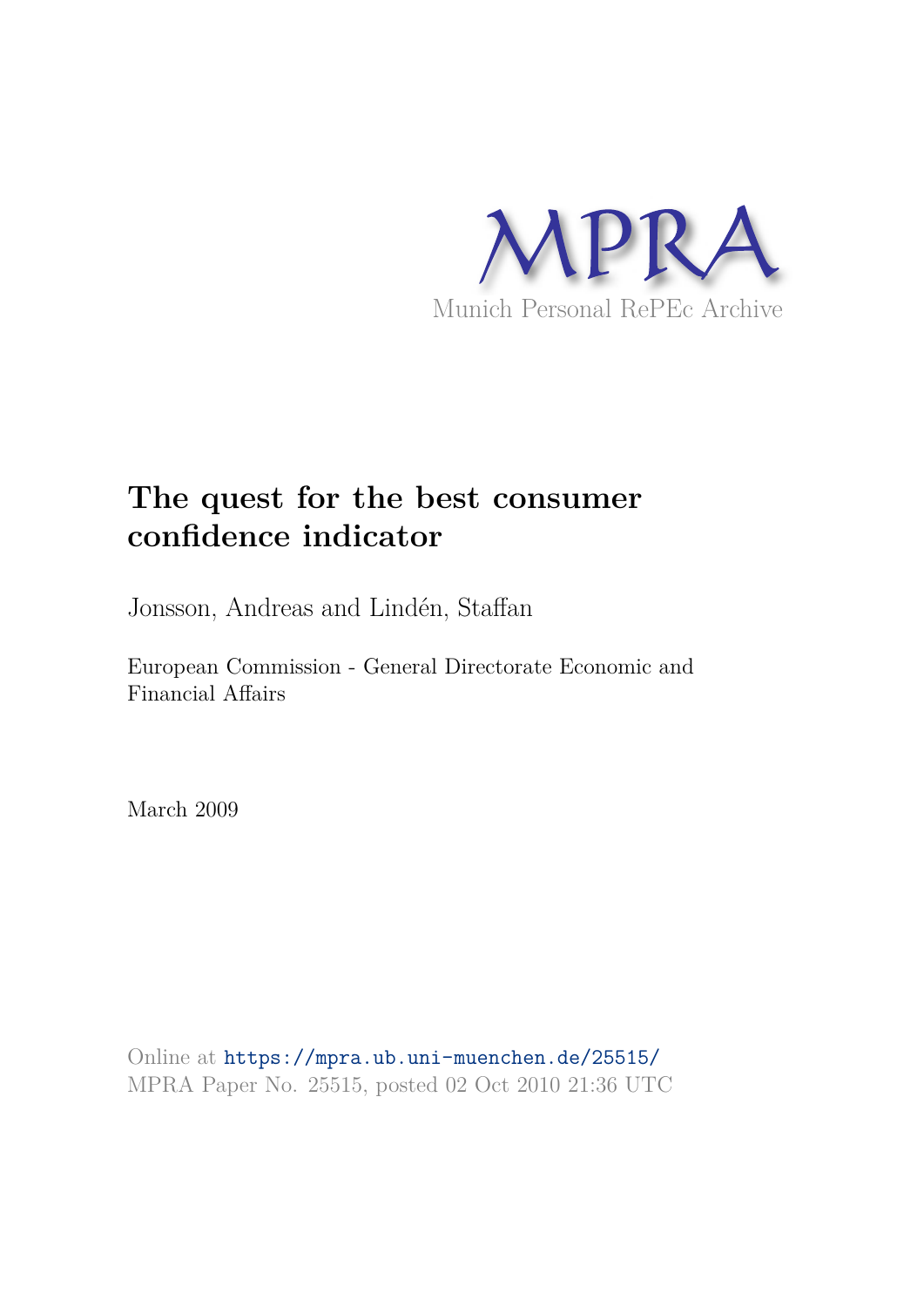

# **The quest for the best consumer confidence indicator**

Jonsson, Andreas and Lindén, Staffan

European Commission - General Directorate Economic and Financial Affairs

March 2009

Online at https://mpra.ub.uni-muenchen.de/25515/ MPRA Paper No. 25515, posted 02 Oct 2010 21:36 UTC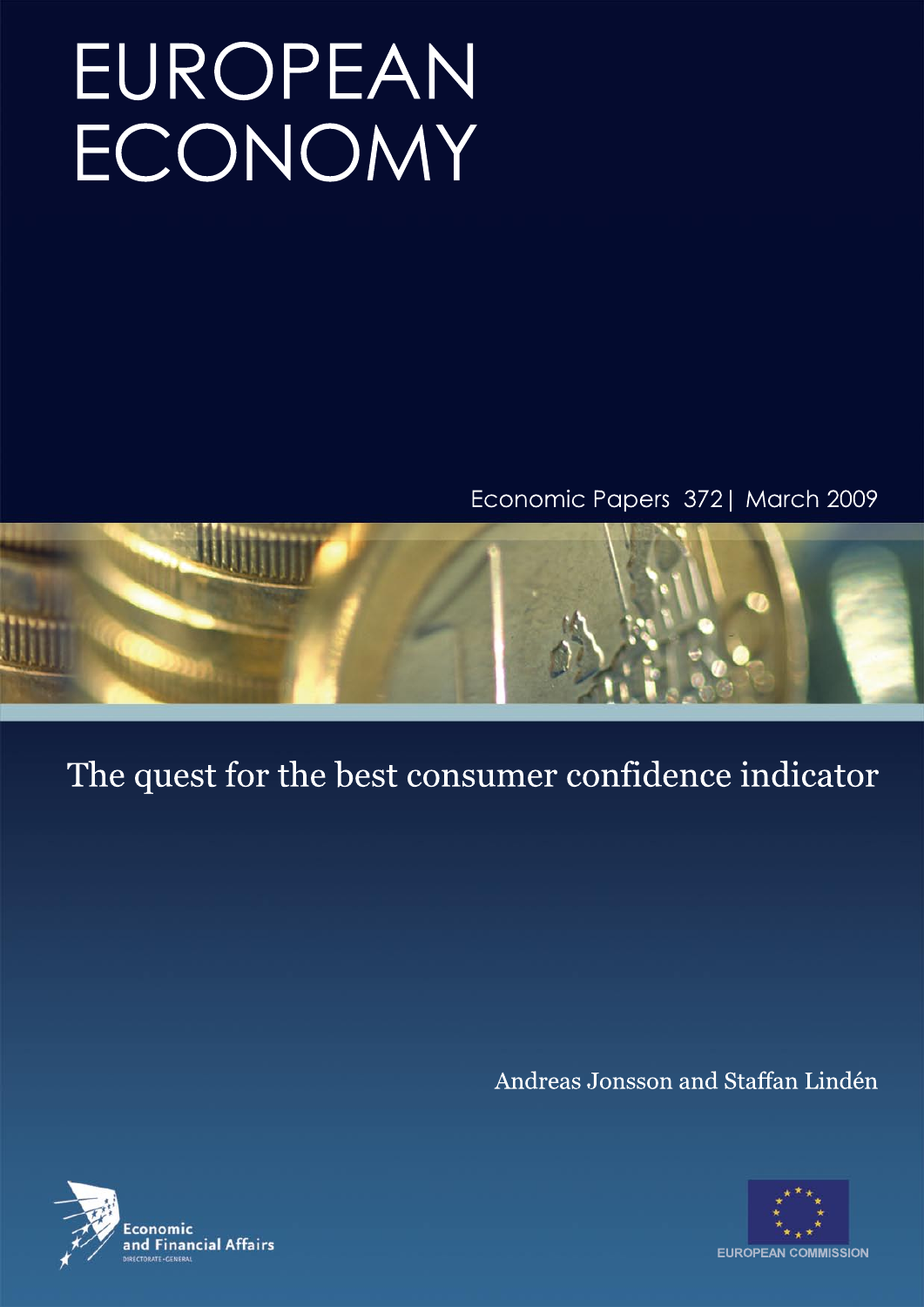# EUROPEAN ECONOMY

Economic Papers 372 | March 2009



# The quest for the best consumer confidence indicator

Andreas Jonsson and Staffan Lindén



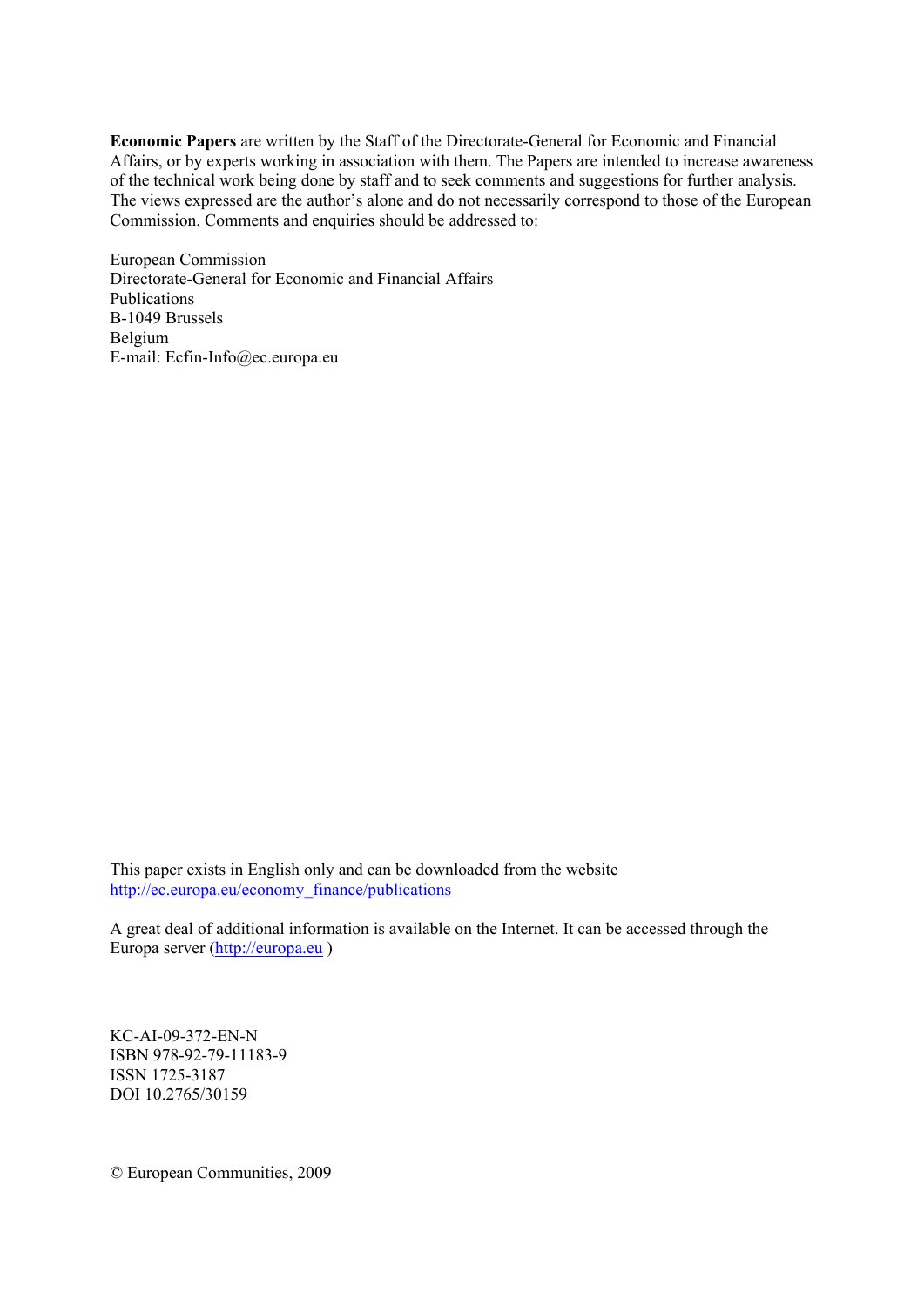**Economic Papers** are written by the Staff of the Directorate-General for Economic and Financial Affairs, or by experts working in association with them. The Papers are intended to increase awareness of the technical work being done by staff and to seek comments and suggestions for further analysis. The views expressed are the author's alone and do not necessarily correspond to those of the European Commission. Comments and enquiries should be addressed to:

European Commission Directorate-General for Economic and Financial Affairs Publications B-1049 Brussels Belgium E-mail: Ecfin-Info@ec.europa.eu

This paper exists in English only and can be downloaded from the website [http://ec.europa.eu/economy\\_finance/publications](http://ec.europa.eu/economy_finance/publications) 

A great deal of additional information is available on the Internet. It can be accessed through the Europa server ([http://europa.eu](http://europa.eu/) )

KC-AI-09-372-EN-N ISBN 978-92-79-11183-9 ISSN 1725-3187 DOI 10.2765/30159

© European Communities, 2009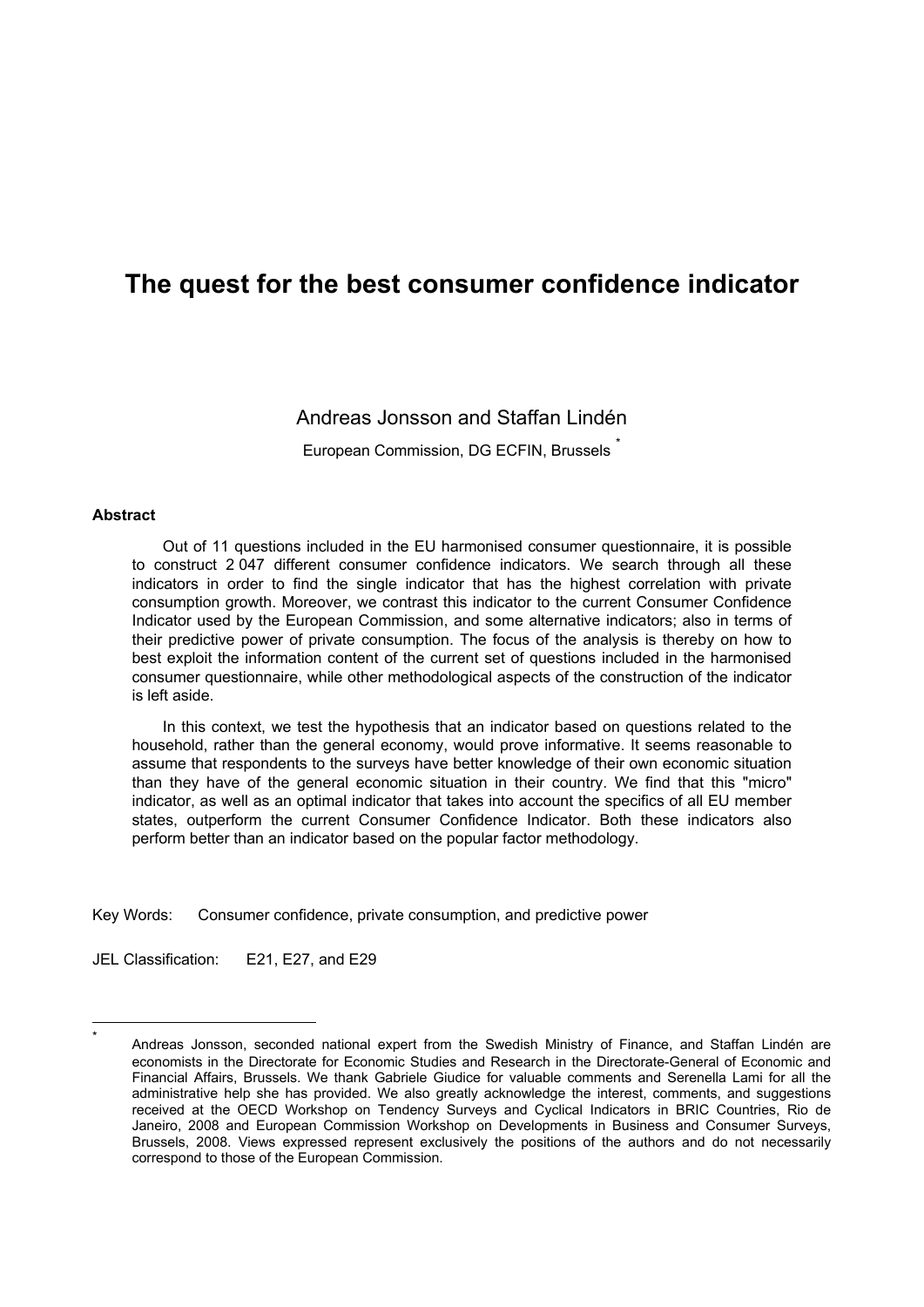## **The quest for the best consumer confidence indicator**

#### Andreas Jonsson and Staffan Lindén

European Commission, DG ECFIN, Brussels

#### **Abstract**

<span id="page-3-0"></span>1 \*

Out of 11 questions included in the EU harmonised consumer questionnaire, it is possible to construct 2 047 different consumer confidence indicators. We search through all these indicators in order to find the single indicator that has the highest correlation with private consumption growth. Moreover, we contrast this indicator to the current Consumer Confidence Indicator used by the European Commission, and some alternative indicators; also in terms of their predictive power of private consumption. The focus of the analysis is thereby on how to best exploit the information content of the current set of questions included in the harmonised consumer questionnaire, while other methodological aspects of the construction of the indicator is left aside.

In this context, we test the hypothesis that an indicator based on questions related to the household, rather than the general economy, would prove informative. It seems reasonable to assume that respondents to the surveys have better knowledge of their own economic situation than they have of the general economic situation in their country. We find that this "micro" indicator, as well as an optimal indicator that takes into account the specifics of all EU member states, outperform the current Consumer Confidence Indicator. Both these indicators also perform better than an indicator based on the popular factor methodology.

Key Words: Consumer confidence, private consumption, and predictive power

JEL Classification: E21, E27, and E29

Andreas Jonsson, seconded national expert from the Swedish Ministry of Finance, and Staffan Lindén are economists in the Directorate for Economic Studies and Research in the Directorate-General of Economic and Financial Affairs, Brussels. We thank Gabriele Giudice for valuable comments and Serenella Lami for all the administrative help she has provided. We also greatly acknowledge the interest, comments, and suggestions received at the OECD Workshop on Tendency Surveys and Cyclical Indicators in BRIC Countries, Rio de Janeiro, 2008 and European Commission Workshop on Developments in Business and Consumer Surveys, Brussels, 2008. Views expressed represent exclusively the positions of the authors and do not necessarily correspond to those of the European Commission.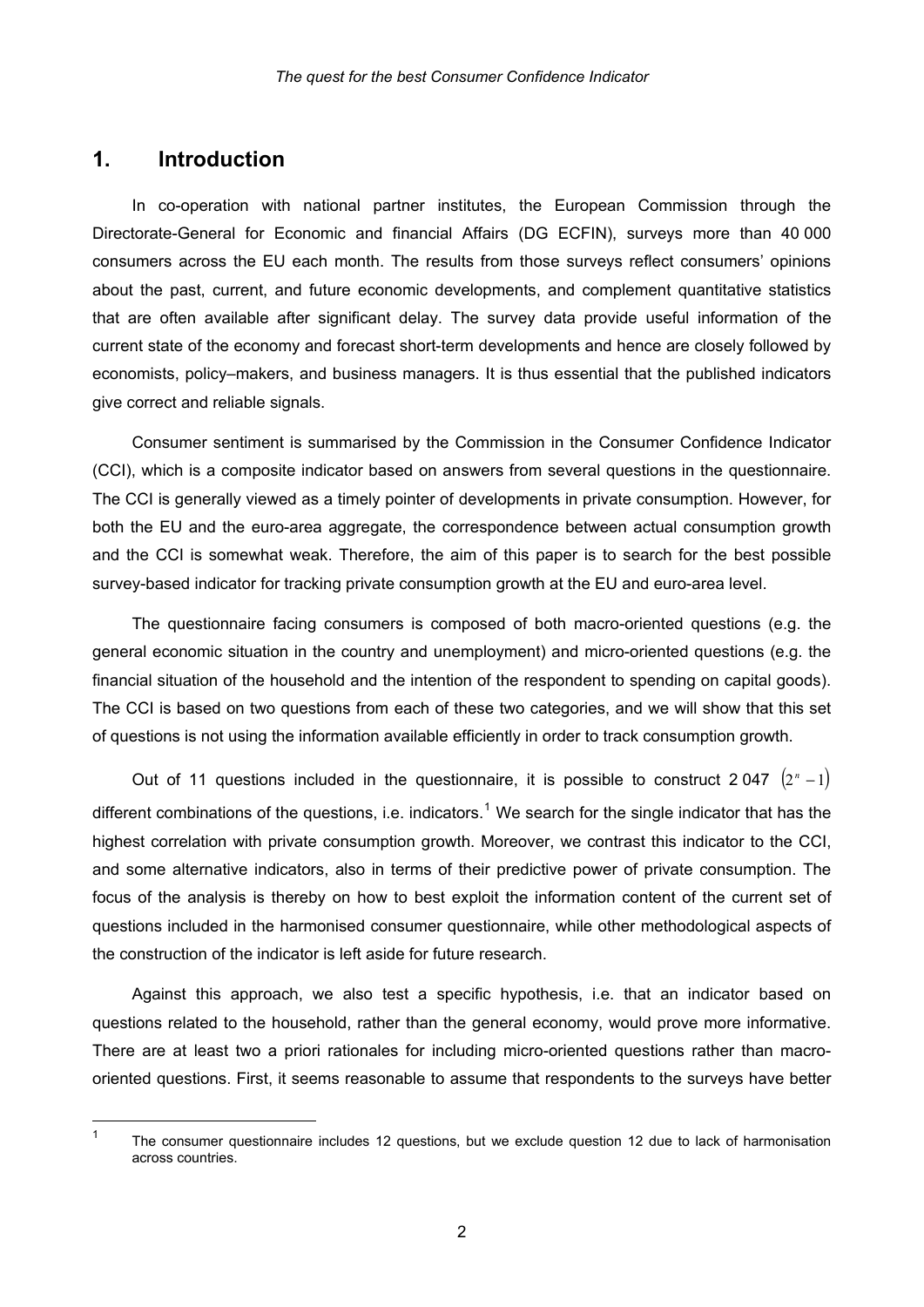#### **1. Introduction**

1

In co-operation with national partner institutes, the European Commission through the Directorate-General for Economic and financial Affairs (DG ECFIN), surveys more than 40 000 consumers across the EU each month. The results from those surveys reflect consumers' opinions about the past, current, and future economic developments, and complement quantitative statistics that are often available after significant delay. The survey data provide useful information of the current state of the economy and forecast short-term developments and hence are closely followed by economists, policy–makers, and business managers. It is thus essential that the published indicators give correct and reliable signals.

Consumer sentiment is summarised by the Commission in the Consumer Confidence Indicator (CCI), which is a composite indicator based on answers from several questions in the questionnaire. The CCI is generally viewed as a timely pointer of developments in private consumption. However, for both the EU and the euro-area aggregate, the correspondence between actual consumption growth and the CCI is somewhat weak. Therefore, the aim of this paper is to search for the best possible survey-based indicator for tracking private consumption growth at the EU and euro-area level.

The questionnaire facing consumers is composed of both macro-oriented questions (e.g. the general economic situation in the country and unemployment) and micro-oriented questions (e.g. the financial situation of the household and the intention of the respondent to spending on capital goods). The CCI is based on two questions from each of these two categories, and we will show that this set of questions is not using the information available efficiently in order to track consumption growth.

Out of 11 questions included in the questionnaire, it is possible to construct 2 047  $(2^{n}-1)$ different combinations of the questions, i.e. indicators.<sup>[1](#page-4-0)</sup> We search for the single indicator that has the highest correlation with private consumption growth. Moreover, we contrast this indicator to the CCI, and some alternative indicators, also in terms of their predictive power of private consumption. The focus of the analysis is thereby on how to best exploit the information content of the current set of questions included in the harmonised consumer questionnaire, while other methodological aspects of the construction of the indicator is left aside for future research.

Against this approach, we also test a specific hypothesis, i.e. that an indicator based on questions related to the household, rather than the general economy, would prove more informative. There are at least two a priori rationales for including micro-oriented questions rather than macrooriented questions. First, it seems reasonable to assume that respondents to the surveys have better

<span id="page-4-0"></span><sup>1</sup> The consumer questionnaire includes 12 questions, but we exclude question 12 due to lack of harmonisation across countries.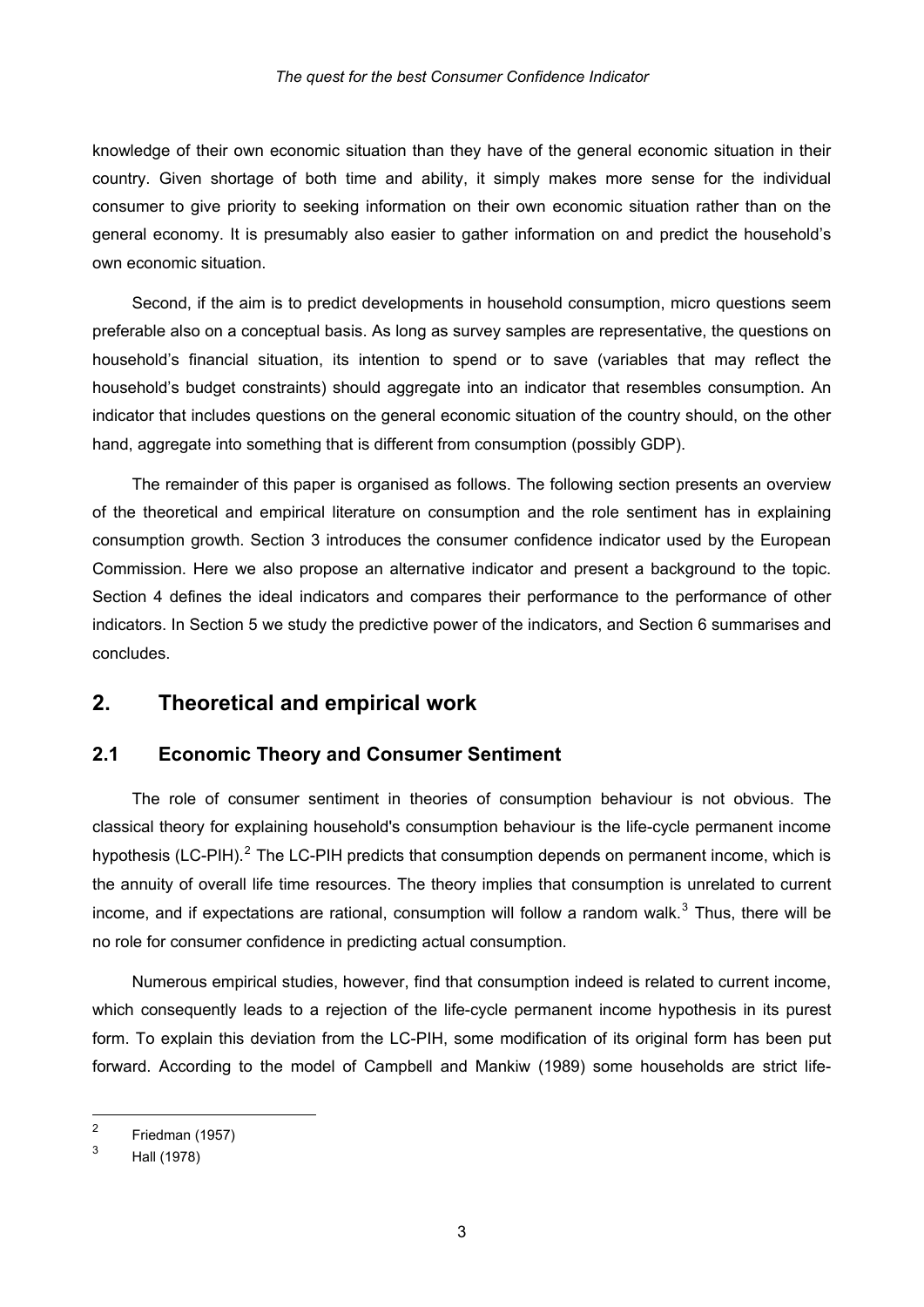knowledge of their own economic situation than they have of the general economic situation in their country. Given shortage of both time and ability, it simply makes more sense for the individual consumer to give priority to seeking information on their own economic situation rather than on the general economy. It is presumably also easier to gather information on and predict the household's own economic situation.

Second, if the aim is to predict developments in household consumption, micro questions seem preferable also on a conceptual basis. As long as survey samples are representative, the questions on household's financial situation, its intention to spend or to save (variables that may reflect the household's budget constraints) should aggregate into an indicator that resembles consumption. An indicator that includes questions on the general economic situation of the country should, on the other hand, aggregate into something that is different from consumption (possibly GDP).

The remainder of this paper is organised as follows. The following section presents an overview of the theoretical and empirical literature on consumption and the role sentiment has in explaining consumption growth. Section 3 introduces the consumer confidence indicator used by the European Commission. Here we also propose an alternative indicator and present a background to the topic. Section 4 defines the ideal indicators and compares their performance to the performance of other indicators. In Section 5 we study the predictive power of the indicators, and Section 6 summarises and concludes.

#### **2. Theoretical and empirical work**

#### **2.1 Economic Theory and Consumer Sentiment**

The role of consumer sentiment in theories of consumption behaviour is not obvious. The classical theory for explaining household's consumption behaviour is the life-cycle permanent income hypothesis (LC-PIH).<sup>[2](#page-5-0)</sup> The LC-PIH predicts that consumption depends on permanent income, which is the annuity of overall life time resources. The theory implies that consumption is unrelated to current income, and if expectations are rational, consumption will follow a random walk.<sup>[3](#page-5-1)</sup> Thus, there will be no role for consumer confidence in predicting actual consumption.

Numerous empirical studies, however, find that consumption indeed is related to current income, which consequently leads to a rejection of the life-cycle permanent income hypothesis in its purest form. To explain this deviation from the LC-PIH, some modification of its original form has been put forward. According to the model of Campbell and Mankiw (1989) some households are strict life-

1

<span id="page-5-0"></span><sup>2</sup> Friedman (1957)

<span id="page-5-1"></span><sup>3</sup> Hall (1978)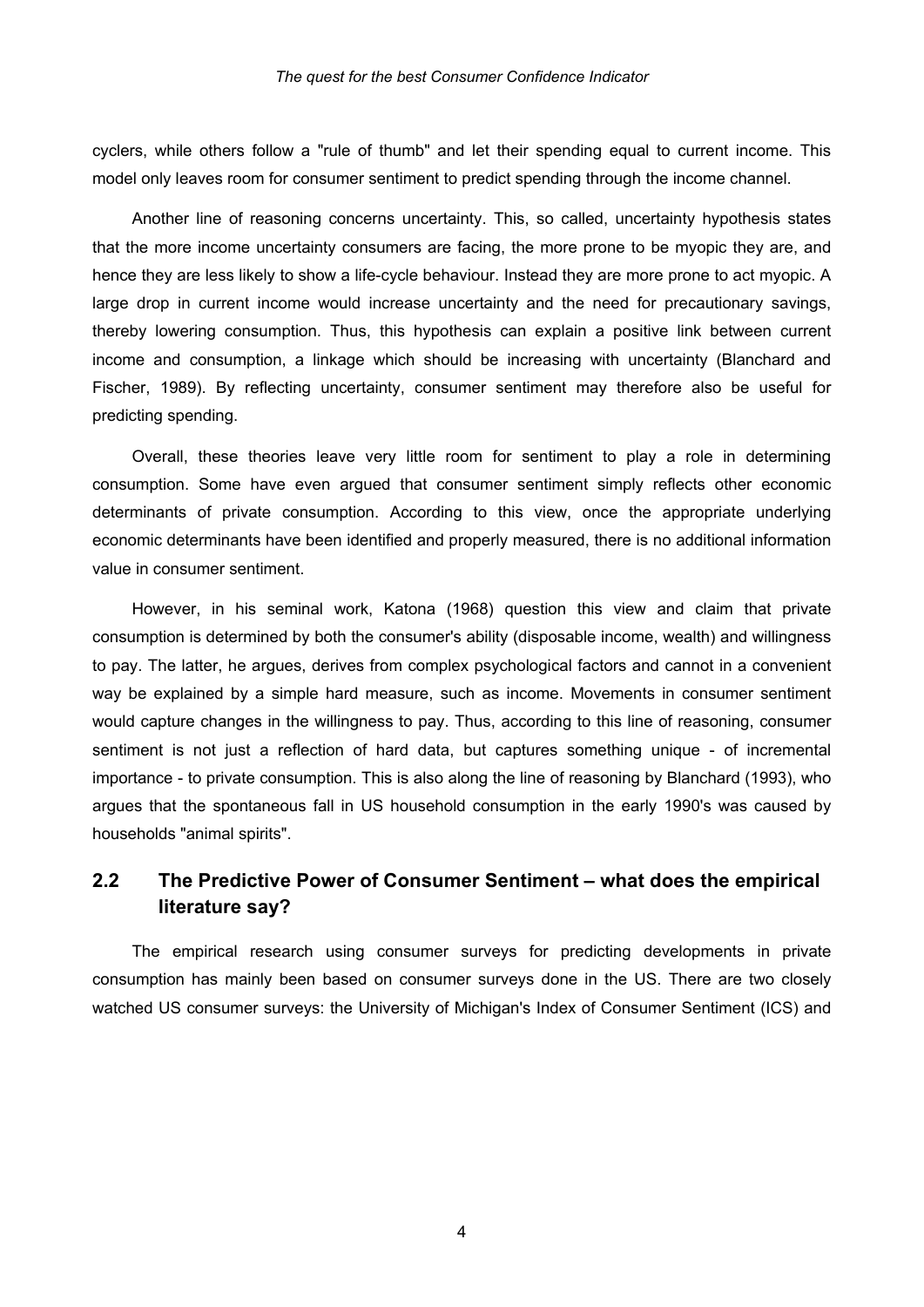cyclers, while others follow a "rule of thumb" and let their spending equal to current income. This model only leaves room for consumer sentiment to predict spending through the income channel.

Another line of reasoning concerns uncertainty. This, so called, uncertainty hypothesis states that the more income uncertainty consumers are facing, the more prone to be myopic they are, and hence they are less likely to show a life-cycle behaviour. Instead they are more prone to act myopic. A large drop in current income would increase uncertainty and the need for precautionary savings, thereby lowering consumption. Thus, this hypothesis can explain a positive link between current income and consumption, a linkage which should be increasing with uncertainty (Blanchard and Fischer, 1989). By reflecting uncertainty, consumer sentiment may therefore also be useful for predicting spending.

Overall, these theories leave very little room for sentiment to play a role in determining consumption. Some have even argued that consumer sentiment simply reflects other economic determinants of private consumption. According to this view, once the appropriate underlying economic determinants have been identified and properly measured, there is no additional information value in consumer sentiment.

However, in his seminal work, Katona (1968) question this view and claim that private consumption is determined by both the consumer's ability (disposable income, wealth) and willingness to pay. The latter, he argues, derives from complex psychological factors and cannot in a convenient way be explained by a simple hard measure, such as income. Movements in consumer sentiment would capture changes in the willingness to pay. Thus, according to this line of reasoning, consumer sentiment is not just a reflection of hard data, but captures something unique - of incremental importance - to private consumption. This is also along the line of reasoning by Blanchard (1993), who argues that the spontaneous fall in US household consumption in the early 1990's was caused by households "animal spirits".

#### **2.2 The Predictive Power of Consumer Sentiment – what does the empirical literature say?**

The empirical research using consumer surveys for predicting developments in private consumption has mainly been based on consumer surveys done in the US. There are two closely watched US consumer surveys: the University of Michigan's Index of Consumer Sentiment (ICS) and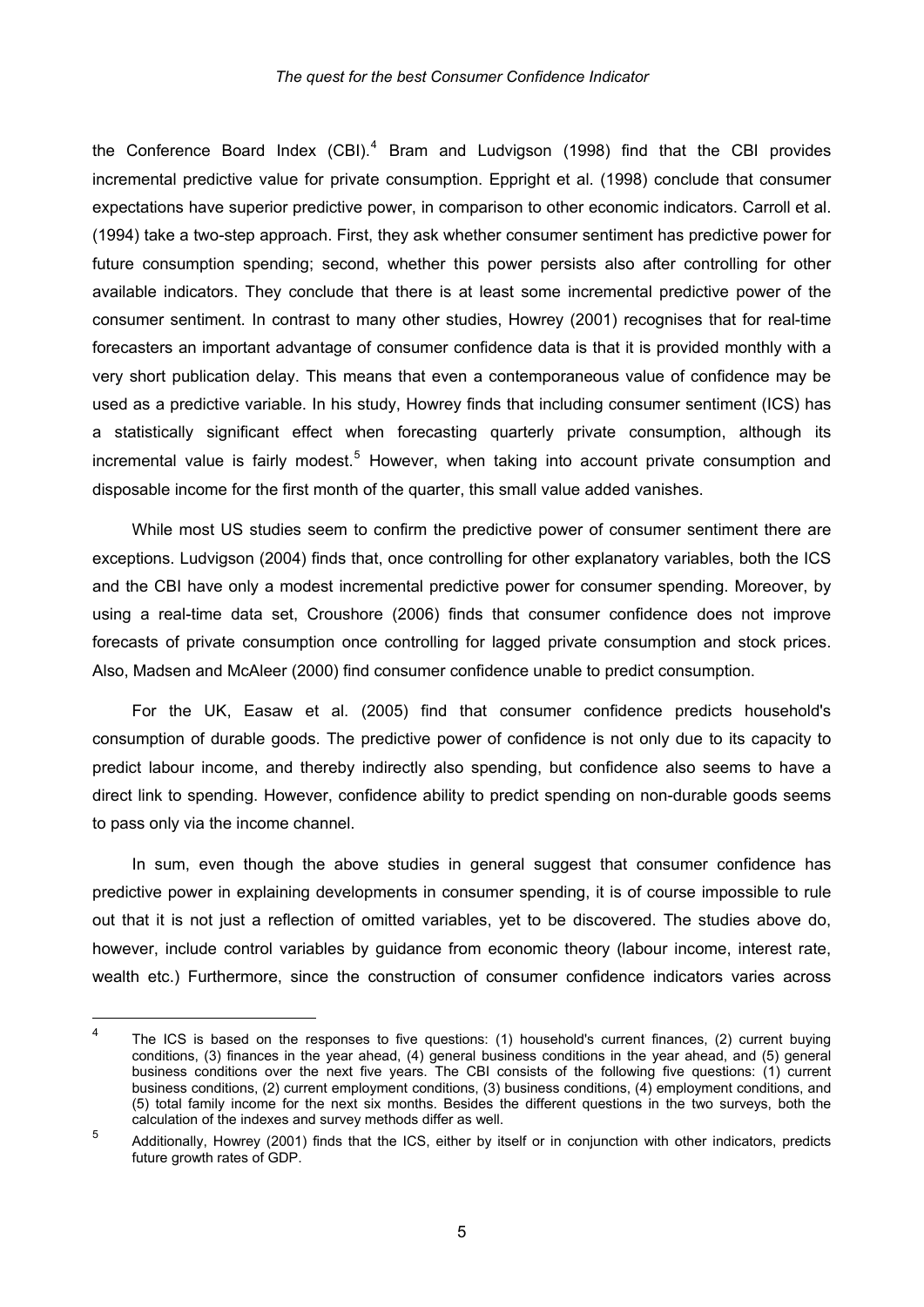the Conference Board Index (CBI). $<sup>4</sup>$  $<sup>4</sup>$  $<sup>4</sup>$  Bram and Ludvigson (1998) find that the CBI provides</sup> incremental predictive value for private consumption. Eppright et al. (1998) conclude that consumer expectations have superior predictive power, in comparison to other economic indicators. Carroll et al. (1994) take a two-step approach. First, they ask whether consumer sentiment has predictive power for future consumption spending; second, whether this power persists also after controlling for other available indicators. They conclude that there is at least some incremental predictive power of the consumer sentiment. In contrast to many other studies, Howrey (2001) recognises that for real-time forecasters an important advantage of consumer confidence data is that it is provided monthly with a very short publication delay. This means that even a contemporaneous value of confidence may be used as a predictive variable. In his study, Howrey finds that including consumer sentiment (ICS) has a statistically significant effect when forecasting quarterly private consumption, although its incremental value is fairly modest.<sup>[5](#page-7-1)</sup> However, when taking into account private consumption and disposable income for the first month of the quarter, this small value added vanishes.

While most US studies seem to confirm the predictive power of consumer sentiment there are exceptions. Ludvigson (2004) finds that, once controlling for other explanatory variables, both the ICS and the CBI have only a modest incremental predictive power for consumer spending. Moreover, by using a real-time data set, Croushore (2006) finds that consumer confidence does not improve forecasts of private consumption once controlling for lagged private consumption and stock prices. Also, Madsen and McAleer (2000) find consumer confidence unable to predict consumption.

For the UK, Easaw et al. (2005) find that consumer confidence predicts household's consumption of durable goods. The predictive power of confidence is not only due to its capacity to predict labour income, and thereby indirectly also spending, but confidence also seems to have a direct link to spending. However, confidence ability to predict spending on non-durable goods seems to pass only via the income channel.

In sum, even though the above studies in general suggest that consumer confidence has predictive power in explaining developments in consumer spending, it is of course impossible to rule out that it is not just a reflection of omitted variables, yet to be discovered. The studies above do, however, include control variables by guidance from economic theory (labour income, interest rate, wealth etc.) Furthermore, since the construction of consumer confidence indicators varies across

1

<span id="page-7-0"></span><sup>4</sup> The ICS is based on the responses to five questions: (1) household's current finances, (2) current buying conditions, (3) finances in the year ahead, (4) general business conditions in the year ahead, and (5) general business conditions over the next five years. The CBI consists of the following five questions: (1) current business conditions, (2) current employment conditions, (3) business conditions, (4) employment conditions, and (5) total family income for the next six months. Besides the different questions in the two surveys, both the calculation of the indexes and survey methods differ as well.

<span id="page-7-1"></span><sup>5</sup> Additionally, Howrey (2001) finds that the ICS, either by itself or in conjunction with other indicators, predicts future growth rates of GDP.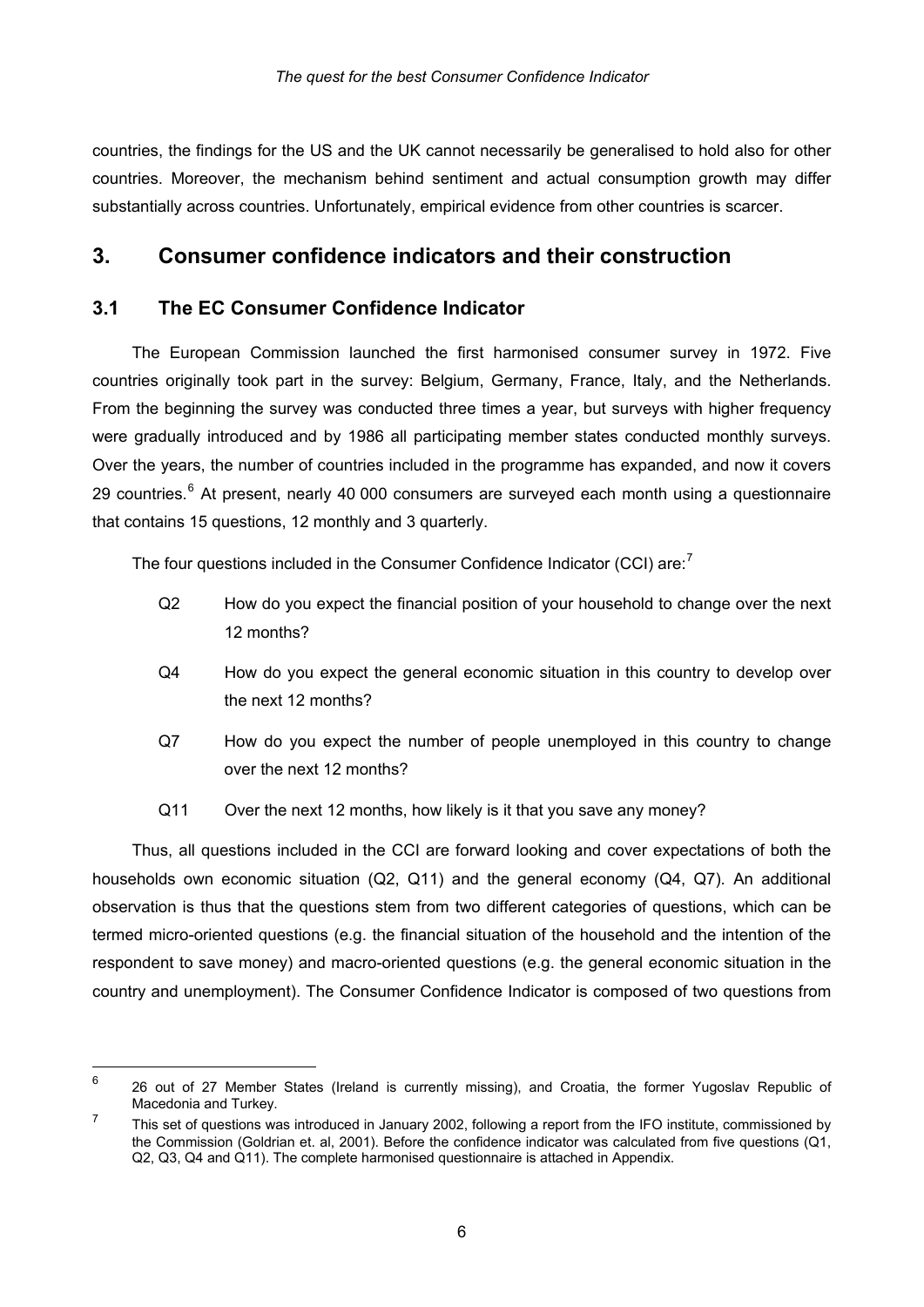countries, the findings for the US and the UK cannot necessarily be generalised to hold also for other countries. Moreover, the mechanism behind sentiment and actual consumption growth may differ substantially across countries. Unfortunately, empirical evidence from other countries is scarcer.

#### **3. Consumer confidence indicators and their construction**

#### **3.1 The EC Consumer Confidence Indicator**

1

The European Commission launched the first harmonised consumer survey in 1972. Five countries originally took part in the survey: Belgium, Germany, France, Italy, and the Netherlands. From the beginning the survey was conducted three times a year, but surveys with higher frequency were gradually introduced and by 1986 all participating member states conducted monthly surveys. Over the years, the number of countries included in the programme has expanded, and now it covers 29 countries.<sup>[6](#page-8-0)</sup> At present, nearly 40 000 consumers are surveyed each month using a questionnaire that contains 15 questions, 12 monthly and 3 quarterly.

The four questions included in the Consumer Confidence Indicator (CCI) are:<sup>[7](#page-8-1)</sup>

- Q2 How do you expect the financial position of your household to change over the next 12 months?
- Q4 How do you expect the general economic situation in this country to develop over the next 12 months?
- Q7 How do you expect the number of people unemployed in this country to change over the next 12 months?
- Q11 Over the next 12 months, how likely is it that you save any money?

Thus, all questions included in the CCI are forward looking and cover expectations of both the households own economic situation (Q2, Q11) and the general economy (Q4, Q7). An additional observation is thus that the questions stem from two different categories of questions, which can be termed micro-oriented questions (e.g. the financial situation of the household and the intention of the respondent to save money) and macro-oriented questions (e.g. the general economic situation in the country and unemployment). The Consumer Confidence Indicator is composed of two questions from

<span id="page-8-0"></span><sup>6</sup> 26 out of 27 Member States (Ireland is currently missing), and Croatia, the former Yugoslav Republic of Macedonia and Turkey.

<span id="page-8-1"></span><sup>7</sup> This set of questions was introduced in January 2002, following a report from the IFO institute, commissioned by the Commission (Goldrian et. al, 2001). Before the confidence indicator was calculated from five questions (Q1, Q2, Q3, Q4 and Q11). The complete harmonised questionnaire is attached in Appendix.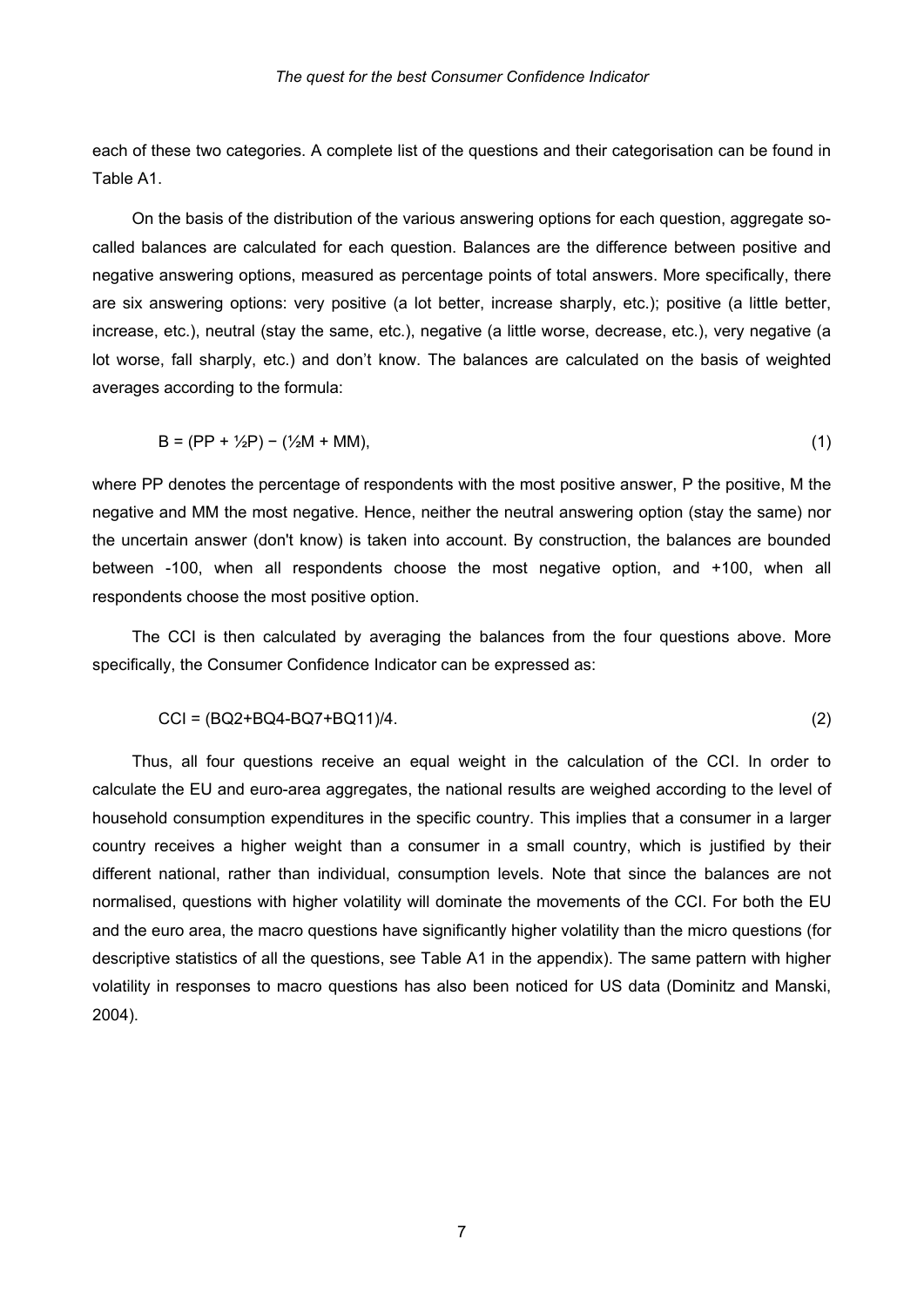each of these two categories. A complete list of the questions and their categorisation can be found in Table A1.

On the basis of the distribution of the various answering options for each question, aggregate socalled balances are calculated for each question. Balances are the difference between positive and negative answering options, measured as percentage points of total answers. More specifically, there are six answering options: very positive (a lot better, increase sharply, etc.); positive (a little better, increase, etc.), neutral (stay the same, etc.), negative (a little worse, decrease, etc.), very negative (a lot worse, fall sharply, etc.) and don't know. The balances are calculated on the basis of weighted averages according to the formula:

$$
B = (PP + \frac{1}{2}P) - (\frac{1}{2}M + MM),
$$
 (1)

where PP denotes the percentage of respondents with the most positive answer, P the positive, M the negative and MM the most negative. Hence, neither the neutral answering option (stay the same) nor the uncertain answer (don't know) is taken into account. By construction, the balances are bounded between -100, when all respondents choose the most negative option, and +100, when all respondents choose the most positive option.

The CCI is then calculated by averaging the balances from the four questions above. More specifically, the Consumer Confidence Indicator can be expressed as:

$$
|CC| = (BQ2 + BQ4 - BQ7 + BQ11)/4.
$$
\n<sup>(2)</sup>

Thus, all four questions receive an equal weight in the calculation of the CCI. In order to calculate the EU and euro-area aggregates, the national results are weighed according to the level of household consumption expenditures in the specific country. This implies that a consumer in a larger country receives a higher weight than a consumer in a small country, which is justified by their different national, rather than individual, consumption levels. Note that since the balances are not normalised, questions with higher volatility will dominate the movements of the CCI. For both the EU and the euro area, the macro questions have significantly higher volatility than the micro questions (for descriptive statistics of all the questions, see Table A1 in the appendix). The same pattern with higher volatility in responses to macro questions has also been noticed for US data (Dominitz and Manski, 2004).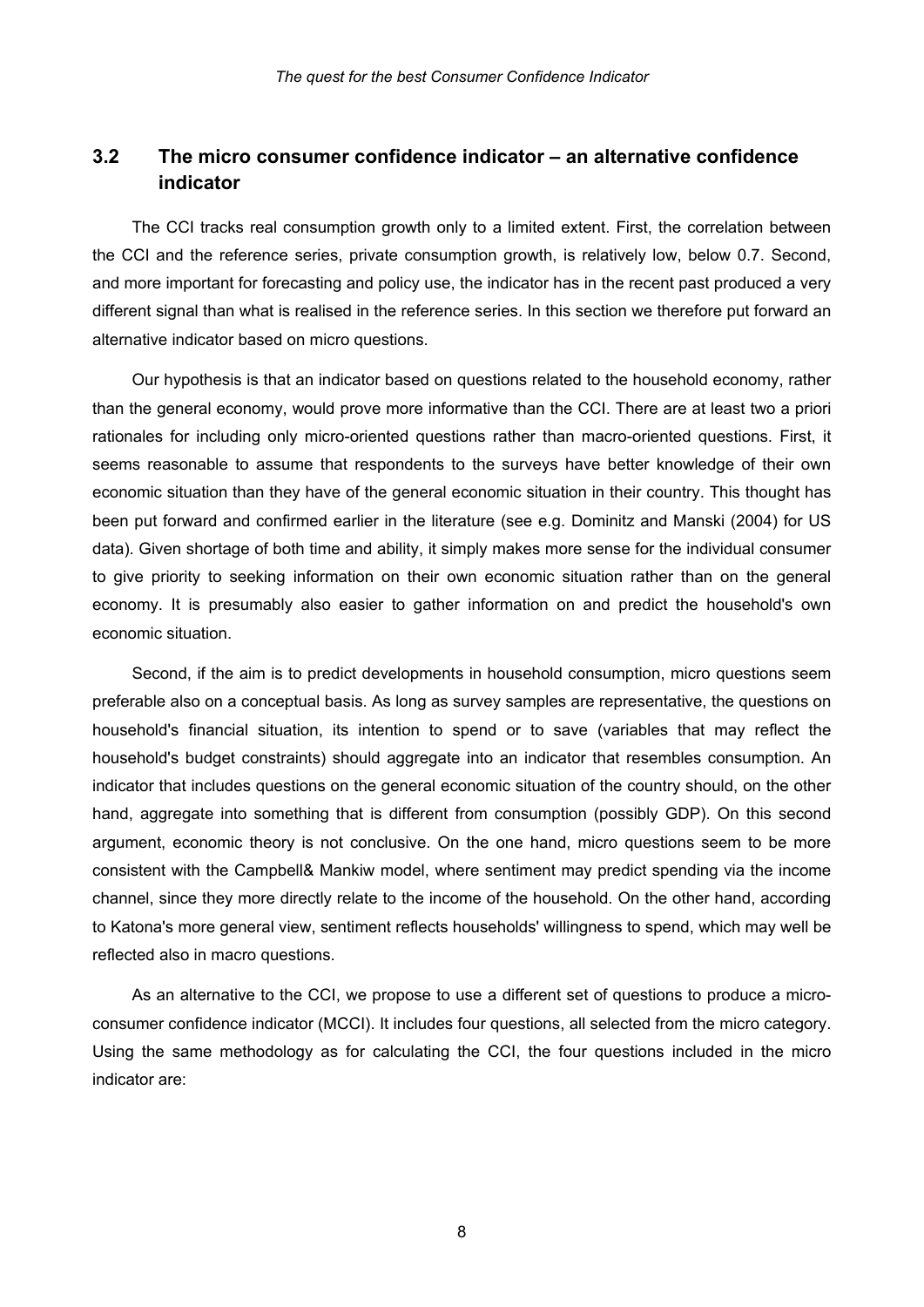#### **3.2 The micro consumer confidence indicator – an alternative confidence indicator**

The CCI tracks real consumption growth only to a limited extent. First, the correlation between the CCI and the reference series, private consumption growth, is relatively low, below 0.7. Second, and more important for forecasting and policy use, the indicator has in the recent past produced a very different signal than what is realised in the reference series. In this section we therefore put forward an alternative indicator based on micro questions.

Our hypothesis is that an indicator based on questions related to the household economy, rather than the general economy, would prove more informative than the CCI. There are at least two a priori rationales for including only micro-oriented questions rather than macro-oriented questions. First, it seems reasonable to assume that respondents to the surveys have better knowledge of their own economic situation than they have of the general economic situation in their country. This thought has been put forward and confirmed earlier in the literature (see e.g. Dominitz and Manski (2004) for US data). Given shortage of both time and ability, it simply makes more sense for the individual consumer to give priority to seeking information on their own economic situation rather than on the general economy. It is presumably also easier to gather information on and predict the household's own economic situation.

Second, if the aim is to predict developments in household consumption, micro questions seem preferable also on a conceptual basis. As long as survey samples are representative, the questions on household's financial situation, its intention to spend or to save (variables that may reflect the household's budget constraints) should aggregate into an indicator that resembles consumption. An indicator that includes questions on the general economic situation of the country should, on the other hand, aggregate into something that is different from consumption (possibly GDP). On this second argument, economic theory is not conclusive. On the one hand, micro questions seem to be more consistent with the Campbell& Mankiw model, where sentiment may predict spending via the income channel, since they more directly relate to the income of the household. On the other hand, according to Katona's more general view, sentiment reflects households' willingness to spend, which may well be reflected also in macro questions.

As an alternative to the CCI, we propose to use a different set of questions to produce a microconsumer confidence indicator (MCCI). It includes four questions, all selected from the micro category. Using the same methodology as for calculating the CCI, the four questions included in the micro indicator are:

8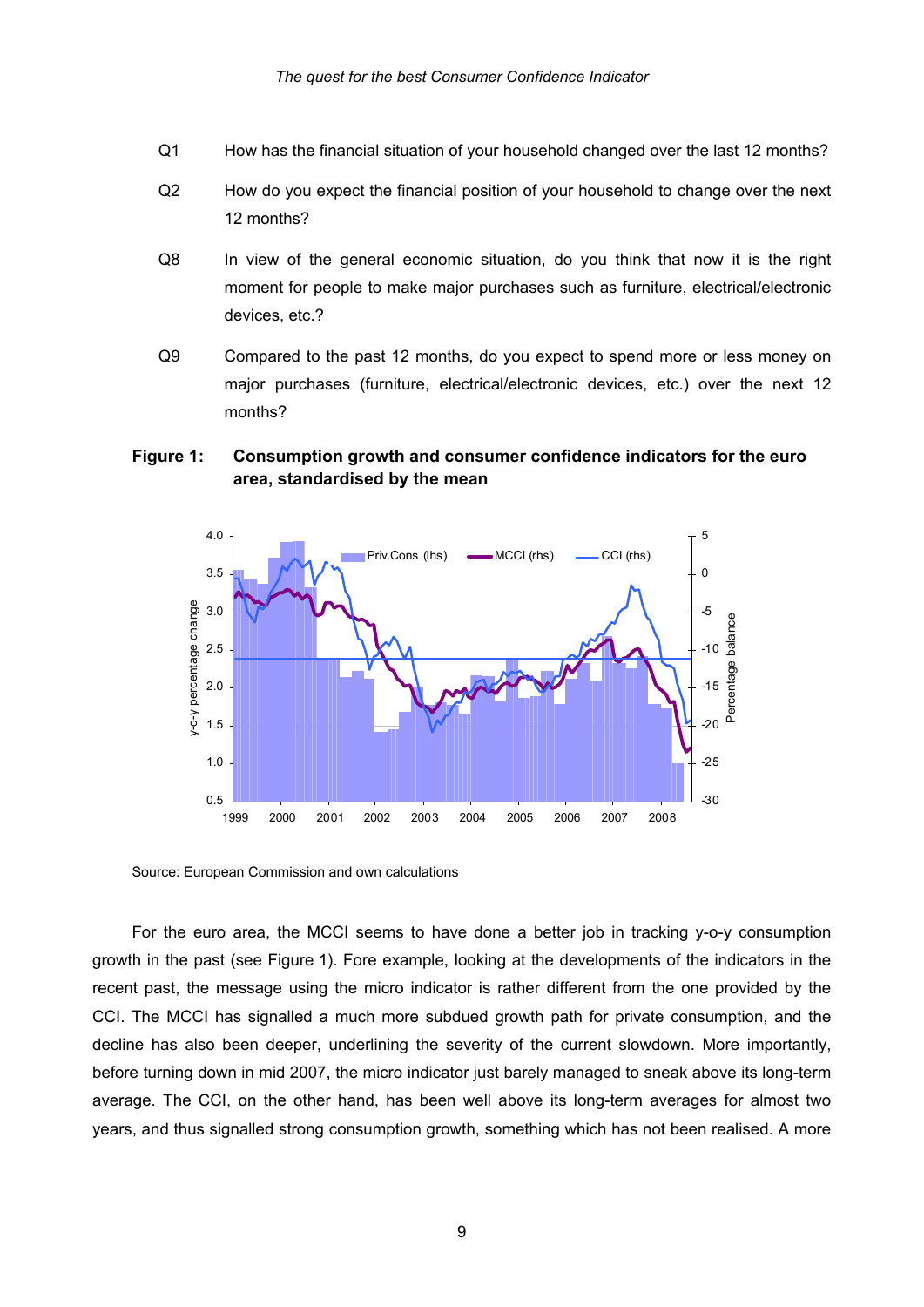- Q1 How has the financial situation of your household changed over the last 12 months?
- Q2 How do you expect the financial position of your household to change over the next 12 months?
- Q8 In view of the general economic situation, do you think that now it is the right moment for people to make major purchases such as furniture, electrical/electronic devices, etc.?
- Q9 Compared to the past 12 months, do you expect to spend more or less money on major purchases (furniture, electrical/electronic devices, etc.) over the next 12 months?

#### **Figure 1: Consumption growth and consumer confidence indicators for the euro area, standardised by the mean**



Source: European Commission and own calculations

For the euro area, the MCCI seems to have done a better job in tracking y-o-y consumption growth in the past (see Figure 1). Fore example, looking at the developments of the indicators in the recent past, the message using the micro indicator is rather different from the one provided by the CCI. The MCCI has signalled a much more subdued growth path for private consumption, and the decline has also been deeper, underlining the severity of the current slowdown. More importantly, before turning down in mid 2007, the micro indicator just barely managed to sneak above its long-term average. The CCI, on the other hand, has been well above its long-term averages for almost two years, and thus signalled strong consumption growth, something which has not been realised. A more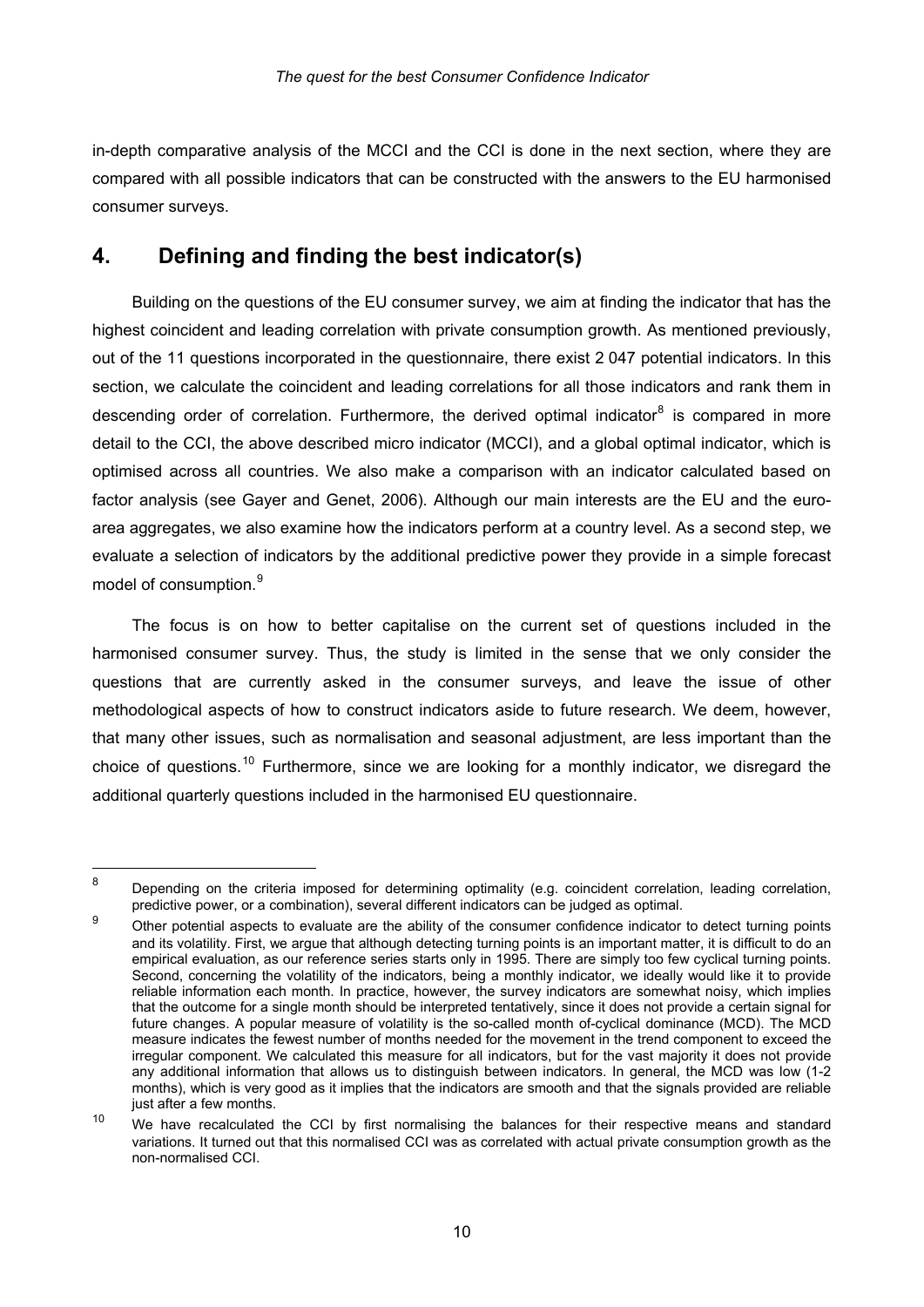in-depth comparative analysis of the MCCI and the CCI is done in the next section, where they are compared with all possible indicators that can be constructed with the answers to the EU harmonised consumer surveys.

#### **4. Defining and finding the best indicator(s)**

1

Building on the questions of the EU consumer survey, we aim at finding the indicator that has the highest coincident and leading correlation with private consumption growth. As mentioned previously, out of the 11 questions incorporated in the questionnaire, there exist 2 047 potential indicators. In this section, we calculate the coincident and leading correlations for all those indicators and rank them in descending order of correlation. Furthermore, the derived optimal indicator<sup>[8](#page-12-0)</sup> is compared in more detail to the CCI, the above described micro indicator (MCCI), and a global optimal indicator, which is optimised across all countries. We also make a comparison with an indicator calculated based on factor analysis (see Gayer and Genet, 2006). Although our main interests are the EU and the euroarea aggregates, we also examine how the indicators perform at a country level. As a second step, we evaluate a selection of indicators by the additional predictive power they provide in a simple forecast model of consumption.<sup>[9](#page-12-1)</sup>

The focus is on how to better capitalise on the current set of questions included in the harmonised consumer survey. Thus, the study is limited in the sense that we only consider the questions that are currently asked in the consumer surveys, and leave the issue of other methodological aspects of how to construct indicators aside to future research. We deem, however, that many other issues, such as normalisation and seasonal adjustment, are less important than the choice of questions.<sup>[10](#page-12-2)</sup> Furthermore, since we are looking for a monthly indicator, we disregard the additional quarterly questions included in the harmonised EU questionnaire.

<span id="page-12-0"></span><sup>8</sup> Depending on the criteria imposed for determining optimality (e.g. coincident correlation, leading correlation, predictive power, or a combination), several different indicators can be judged as optimal.

<span id="page-12-1"></span><sup>9</sup> Other potential aspects to evaluate are the ability of the consumer confidence indicator to detect turning points and its volatility. First, we argue that although detecting turning points is an important matter, it is difficult to do an empirical evaluation, as our reference series starts only in 1995. There are simply too few cyclical turning points. Second, concerning the volatility of the indicators, being a monthly indicator, we ideally would like it to provide reliable information each month. In practice, however, the survey indicators are somewhat noisy, which implies that the outcome for a single month should be interpreted tentatively, since it does not provide a certain signal for future changes. A popular measure of volatility is the so-called month of-cyclical dominance (MCD). The MCD measure indicates the fewest number of months needed for the movement in the trend component to exceed the irregular component. We calculated this measure for all indicators, but for the vast majority it does not provide any additional information that allows us to distinguish between indicators. In general, the MCD was low (1-2 months), which is very good as it implies that the indicators are smooth and that the signals provided are reliable just after a few months.

<span id="page-12-2"></span><sup>&</sup>lt;sup>10</sup> We have recalculated the CCI by first normalising the balances for their respective means and standard variations. It turned out that this normalised CCI was as correlated with actual private consumption growth as the non-normalised CCI.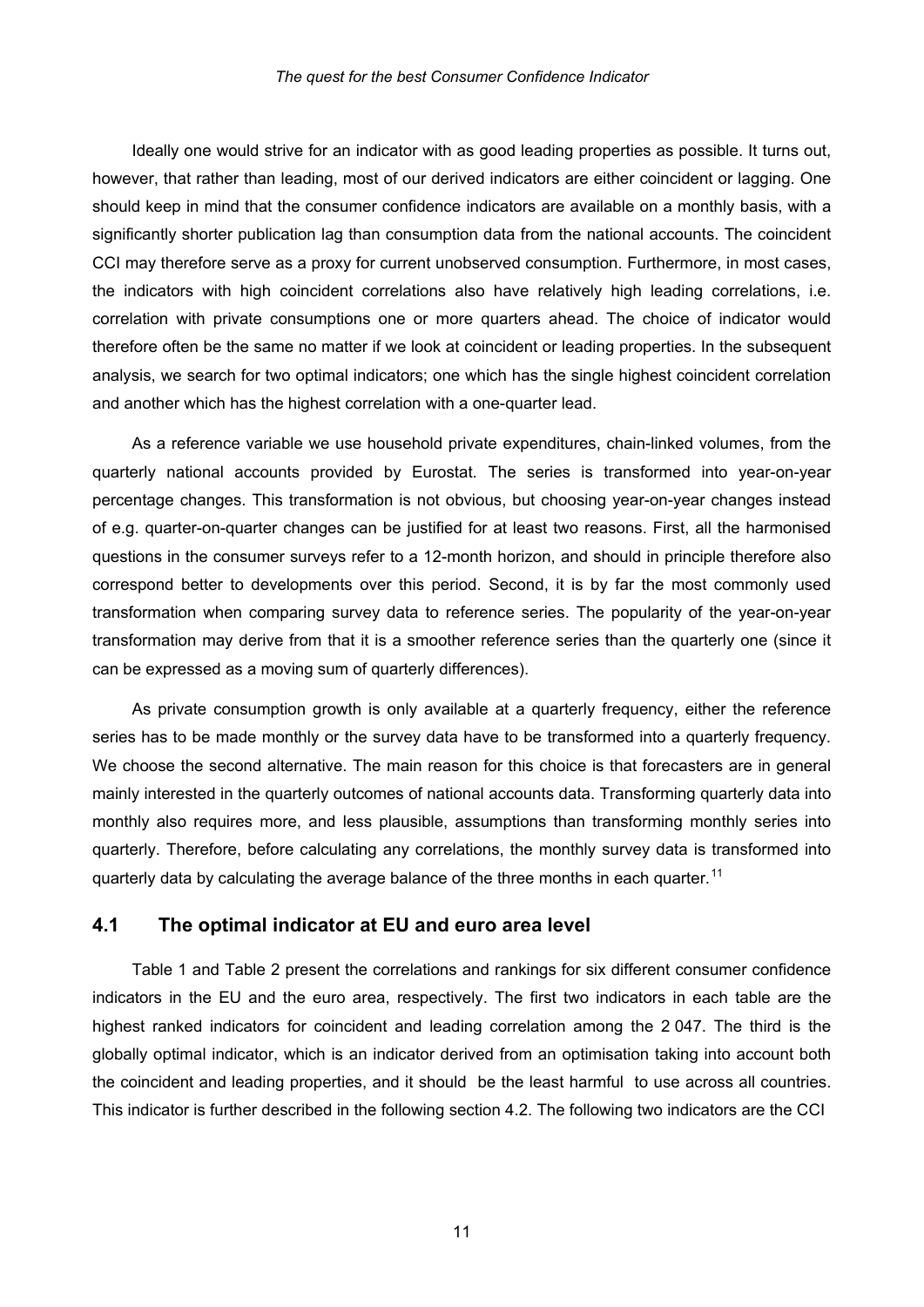Ideally one would strive for an indicator with as good leading properties as possible. It turns out, however, that rather than leading, most of our derived indicators are either coincident or lagging. One should keep in mind that the consumer confidence indicators are available on a monthly basis, with a significantly shorter publication lag than consumption data from the national accounts. The coincident CCI may therefore serve as a proxy for current unobserved consumption. Furthermore, in most cases, the indicators with high coincident correlations also have relatively high leading correlations, i.e. correlation with private consumptions one or more quarters ahead. The choice of indicator would therefore often be the same no matter if we look at coincident or leading properties. In the subsequent analysis, we search for two optimal indicators; one which has the single highest coincident correlation and another which has the highest correlation with a one-quarter lead.

As a reference variable we use household private expenditures, chain-linked volumes, from the quarterly national accounts provided by Eurostat. The series is transformed into year-on-year percentage changes. This transformation is not obvious, but choosing year-on-year changes instead of e.g. quarter-on-quarter changes can be justified for at least two reasons. First, all the harmonised questions in the consumer surveys refer to a 12-month horizon, and should in principle therefore also correspond better to developments over this period. Second, it is by far the most commonly used transformation when comparing survey data to reference series. The popularity of the year-on-year transformation may derive from that it is a smoother reference series than the quarterly one (since it can be expressed as a moving sum of quarterly differences).

As private consumption growth is only available at a quarterly frequency, either the reference series has to be made monthly or the survey data have to be transformed into a quarterly frequency. We choose the second alternative. The main reason for this choice is that forecasters are in general mainly interested in the quarterly outcomes of national accounts data. Transforming quarterly data into monthly also requires more, and less plausible, assumptions than transforming monthly series into quarterly. Therefore, before calculating any correlations, the monthly survey data is transformed into quarterly data by calculating the average balance of the three months in each quarter.<sup>[11](#page-13-0)</sup>

#### **4.1 The optimal indicator at EU and euro area level**

<span id="page-13-0"></span>Table 1 and Table 2 present the correlations and rankings for six different consumer confidence indicators in the EU and the euro area, respectively. The first two indicators in each table are the highest ranked indicators for coincident and leading correlation among the 2 047. The third is the globally optimal indicator, which is an indicator derived from an optimisation taking into account both the coincident and leading properties, and it should be the least harmful to use across all countries. This indicator is further described in the following section 4.2. The following two indicators are the CCI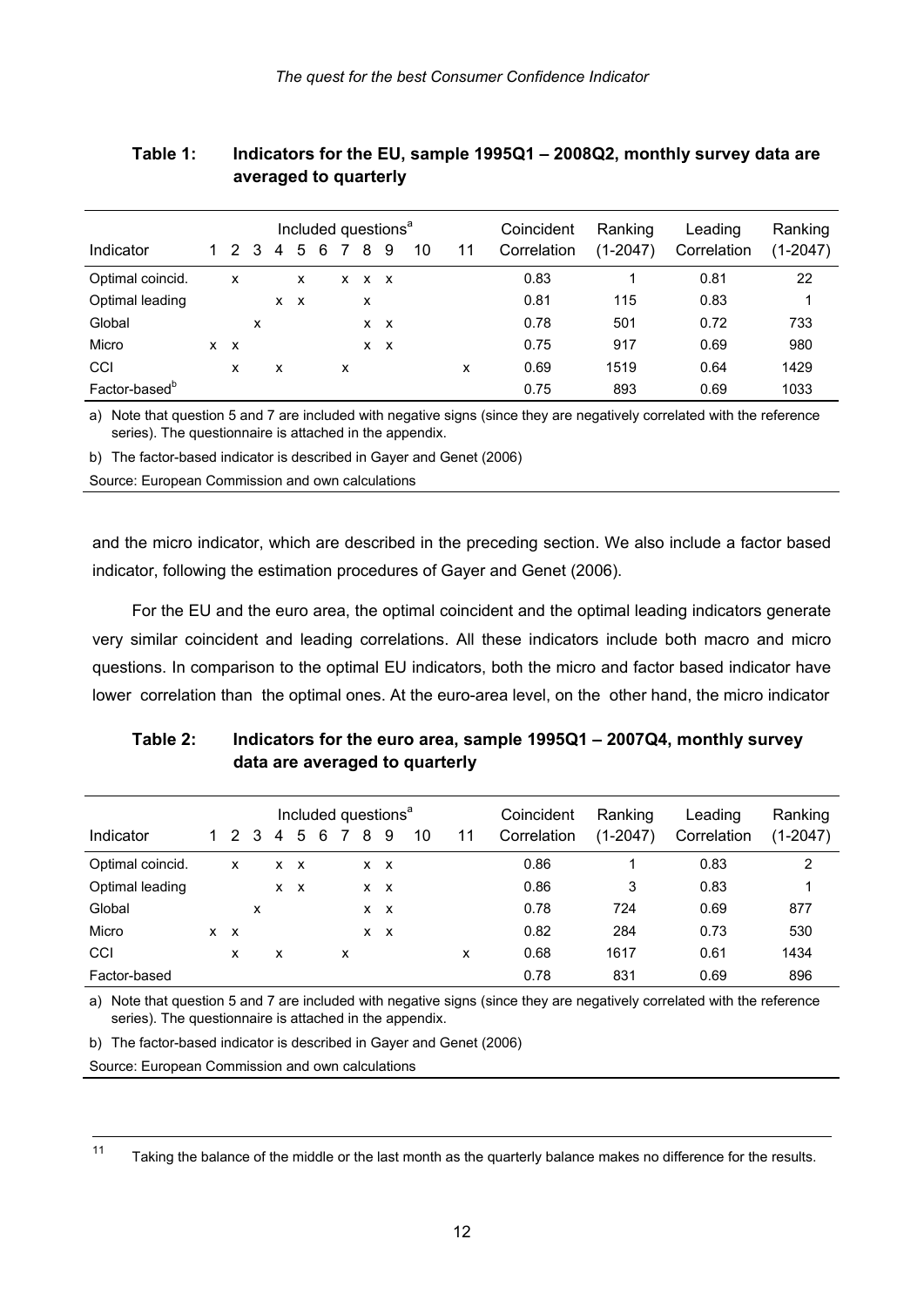| Indicator                 |            | 1 2 3 |   | 4        | 5 | 6 |   | 8           | Included questions <sup>a</sup><br>9 | 10 | 11 | Coincident<br>Correlation | Ranking<br>$(1-2047)$ | Leading<br>Correlation | Ranking<br>$(1-2047)$ |
|---------------------------|------------|-------|---|----------|---|---|---|-------------|--------------------------------------|----|----|---------------------------|-----------------------|------------------------|-----------------------|
| Optimal coincid.          |            | x     |   |          | x |   |   | $X$ $X$ $X$ |                                      |    |    | 0.83                      |                       | 0.81                   | 22                    |
| Optimal leading           |            |       |   | <b>X</b> | X |   |   | x           |                                      |    |    | 0.81                      | 115                   | 0.83                   |                       |
| Global                    |            |       | x |          |   |   |   | $X$ $X$     |                                      |    |    | 0.78                      | 501                   | 0.72                   | 733                   |
| Micro                     | $x \times$ |       |   |          |   |   |   | $X$ $X$     |                                      |    |    | 0.75                      | 917                   | 0.69                   | 980                   |
| CCI                       |            | x     |   | x        |   |   | x |             |                                      |    | x  | 0.69                      | 1519                  | 0.64                   | 1429                  |
| Factor-based <sup>b</sup> |            |       |   |          |   |   |   |             |                                      |    |    | 0.75                      | 893                   | 0.69                   | 1033                  |

#### **Table 1: Indicators for the EU, sample 1995Q1 – 2008Q2, monthly survey data are averaged to quarterly**

a) Note that question 5 and 7 are included with negative signs (since they are negatively correlated with the reference series). The questionnaire is attached in the appendix.

b) The factor-based indicator is described in Gayer and Genet (2006)

Source: European Commission and own calculations

and the micro indicator, which are described in the preceding section. We also include a factor based indicator, following the estimation procedures of Gayer and Genet (2006).

For the EU and the euro area, the optimal coincident and the optimal leading indicators generate very similar coincident and leading correlations. All these indicators include both macro and micro questions. In comparison to the optimal EU indicators, both the micro and factor based indicator have lower correlation than the optimal ones. At the euro-area level, on the other hand, the micro indicator

| Indicator        | 2       | 3 | 4        | 5       | 6 |   | 8 | Included questions <sup>a</sup><br>9 | 10 | 11 | Coincident<br>Correlation | Ranking<br>$(1-2047)$ | Leading<br>Correlation | Ranking<br>$(1-2047)$ |
|------------------|---------|---|----------|---------|---|---|---|--------------------------------------|----|----|---------------------------|-----------------------|------------------------|-----------------------|
| Optimal coincid. | x       |   |          | $X$ $X$ |   |   |   | $X$ $X$                              |    |    | 0.86                      |                       | 0.83                   | 2                     |
| Optimal leading  |         |   | <b>X</b> | x       |   |   |   | $X$ $X$                              |    |    | 0.86                      | 3                     | 0.83                   |                       |
| Global           |         | x |          |         |   |   |   | $X$ $X$                              |    |    | 0.78                      | 724                   | 0.69                   | 877                   |
| Micro            | $X$ $X$ |   |          |         |   |   |   | $X$ $X$                              |    |    | 0.82                      | 284                   | 0.73                   | 530                   |
| CCI              | x       |   | x        |         |   | x |   |                                      |    | x  | 0.68                      | 1617                  | 0.61                   | 1434                  |
| Factor-based     |         |   |          |         |   |   |   |                                      |    |    | 0.78                      | 831                   | 0.69                   | 896                   |

**Table 2: Indicators for the euro area, sample 1995Q1 – 2007Q4, monthly survey data are averaged to quarterly** 

a) Note that question 5 and 7 are included with negative signs (since they are negatively correlated with the reference series). The questionnaire is attached in the appendix.

b) The factor-based indicator is described in Gayer and Genet (2006)

Source: European Commission and own calculations

 $11$ Taking the balance of the middle or the last month as the quarterly balance makes no difference for the results.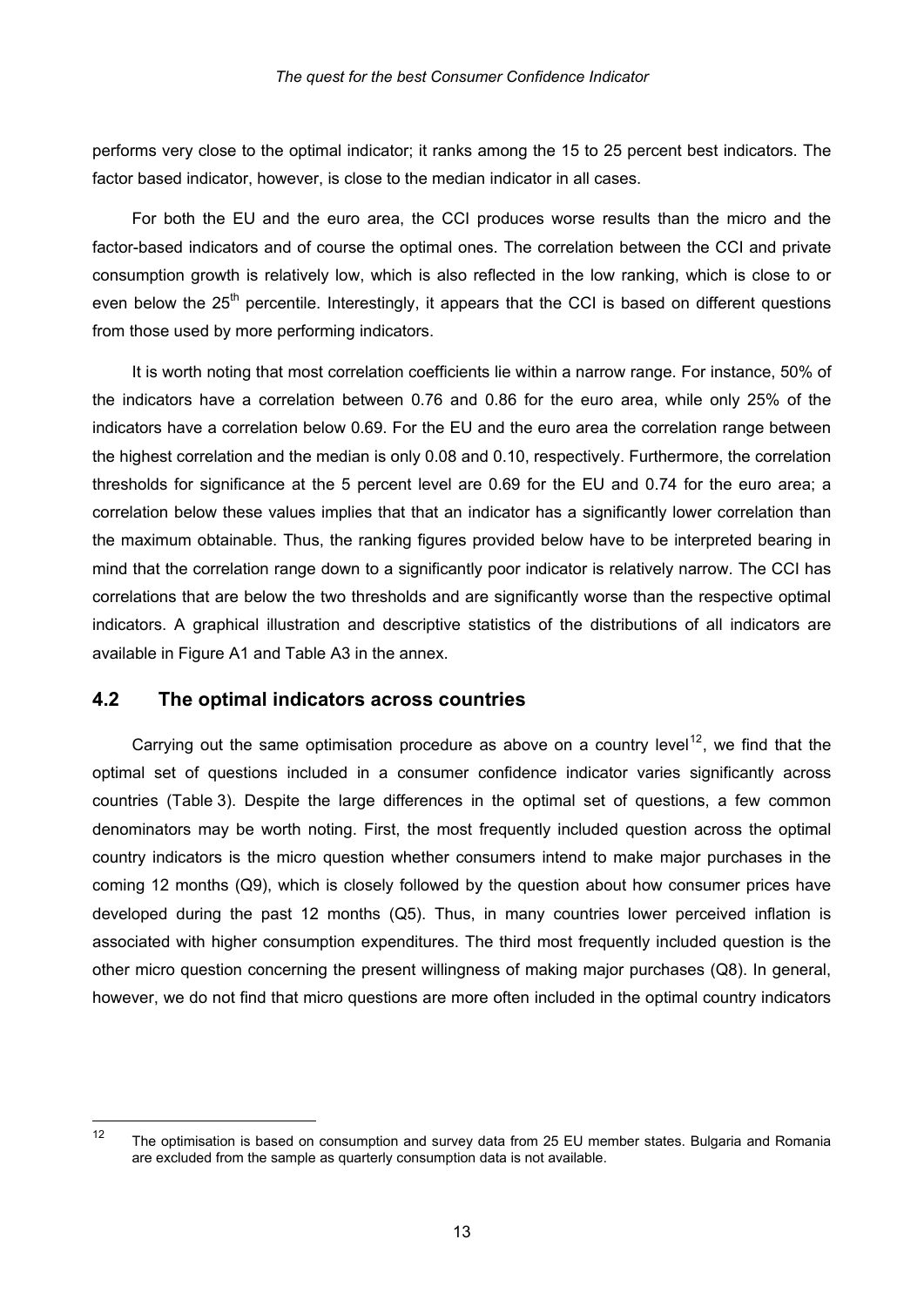performs very close to the optimal indicator; it ranks among the 15 to 25 percent best indicators. The factor based indicator, however, is close to the median indicator in all cases.

For both the EU and the euro area, the CCI produces worse results than the micro and the factor-based indicators and of course the optimal ones. The correlation between the CCI and private consumption growth is relatively low, which is also reflected in the low ranking, which is close to or even below the 25<sup>th</sup> percentile. Interestingly, it appears that the CCI is based on different questions from those used by more performing indicators.

It is worth noting that most correlation coefficients lie within a narrow range. For instance, 50% of the indicators have a correlation between 0.76 and 0.86 for the euro area, while only 25% of the indicators have a correlation below 0.69. For the EU and the euro area the correlation range between the highest correlation and the median is only 0.08 and 0.10, respectively. Furthermore, the correlation thresholds for significance at the 5 percent level are 0.69 for the EU and 0.74 for the euro area; a correlation below these values implies that that an indicator has a significantly lower correlation than the maximum obtainable. Thus, the ranking figures provided below have to be interpreted bearing in mind that the correlation range down to a significantly poor indicator is relatively narrow. The CCI has correlations that are below the two thresholds and are significantly worse than the respective optimal indicators. A graphical illustration and descriptive statistics of the distributions of all indicators are available in Figure A1 and Table A3 in the annex.

#### **4.2 The optimal indicators across countries**

Carrying out the same optimisation procedure as above on a country level<sup>[12](#page-15-0)</sup>, we find that the optimal set of questions included in a consumer confidence indicator varies significantly across countries (Table 3). Despite the large differences in the optimal set of questions, a few common denominators may be worth noting. First, the most frequently included question across the optimal country indicators is the micro question whether consumers intend to make major purchases in the coming 12 months (Q9), which is closely followed by the question about how consumer prices have developed during the past 12 months (Q5). Thus, in many countries lower perceived inflation is associated with higher consumption expenditures. The third most frequently included question is the other micro question concerning the present willingness of making major purchases (Q8). In general, however, we do not find that micro questions are more often included in the optimal country indicators

<span id="page-15-0"></span> $12$ The optimisation is based on consumption and survey data from 25 EU member states. Bulgaria and Romania are excluded from the sample as quarterly consumption data is not available.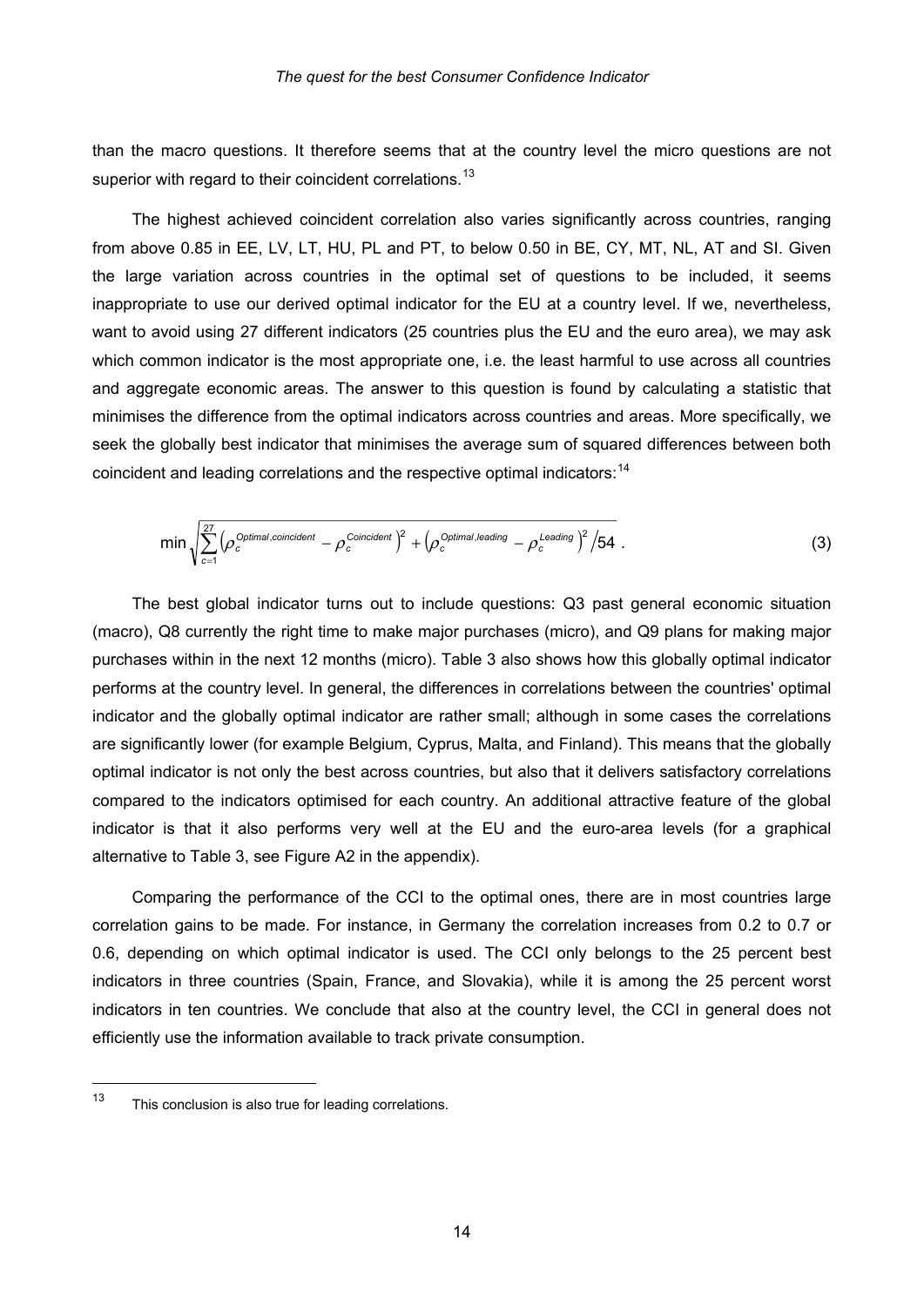than the macro questions. It therefore seems that at the country level the micro questions are not superior with regard to their coincident correlations.<sup>[13](#page-16-0)</sup>

The highest achieved coincident correlation also varies significantly across countries, ranging from above 0.85 in EE, LV, LT, HU, PL and PT, to below 0.50 in BE, CY, MT, NL, AT and SI. Given the large variation across countries in the optimal set of questions to be included, it seems inappropriate to use our derived optimal indicator for the EU at a country level. If we, nevertheless, want to avoid using 27 different indicators (25 countries plus the EU and the euro area), we may ask which common indicator is the most appropriate one, i.e. the least harmful to use across all countries and aggregate economic areas. The answer to this question is found by calculating a statistic that minimises the difference from the optimal indicators across countries and areas. More specifically, we seek the globally best indicator that minimises the average sum of squared differences between both coincident and leading correlations and the respective optimal indicators:<sup>[14](#page-16-1)</sup>

$$
\min \sqrt{\sum_{c=1}^{27} \left(\rho_c^{\text{Optimal, coincident}} - \rho_c^{\text{Coincident}}\right)^2 + \left(\rho_c^{\text{Optimal,leading}} - \rho_c^{\text{Leading}}\right)^2/54} \tag{3}
$$

The best global indicator turns out to include questions: Q3 past general economic situation (macro), Q8 currently the right time to make major purchases (micro), and Q9 plans for making major purchases within in the next 12 months (micro). Table 3 also shows how this globally optimal indicator performs at the country level. In general, the differences in correlations between the countries' optimal indicator and the globally optimal indicator are rather small; although in some cases the correlations are significantly lower (for example Belgium, Cyprus, Malta, and Finland). This means that the globally optimal indicator is not only the best across countries, but also that it delivers satisfactory correlations compared to the indicators optimised for each country. An additional attractive feature of the global indicator is that it also performs very well at the EU and the euro-area levels (for a graphical alternative to Table 3, see Figure A2 in the appendix).

Comparing the performance of the CCI to the optimal ones, there are in most countries large correlation gains to be made. For instance, in Germany the correlation increases from 0.2 to 0.7 or 0.6, depending on which optimal indicator is used. The CCI only belongs to the 25 percent best indicators in three countries (Spain, France, and Slovakia), while it is among the 25 percent worst indicators in ten countries. We conclude that also at the country level, the CCI in general does not efficiently use the information available to track private consumption.

<span id="page-16-1"></span><span id="page-16-0"></span> $13$ This conclusion is also true for leading correlations.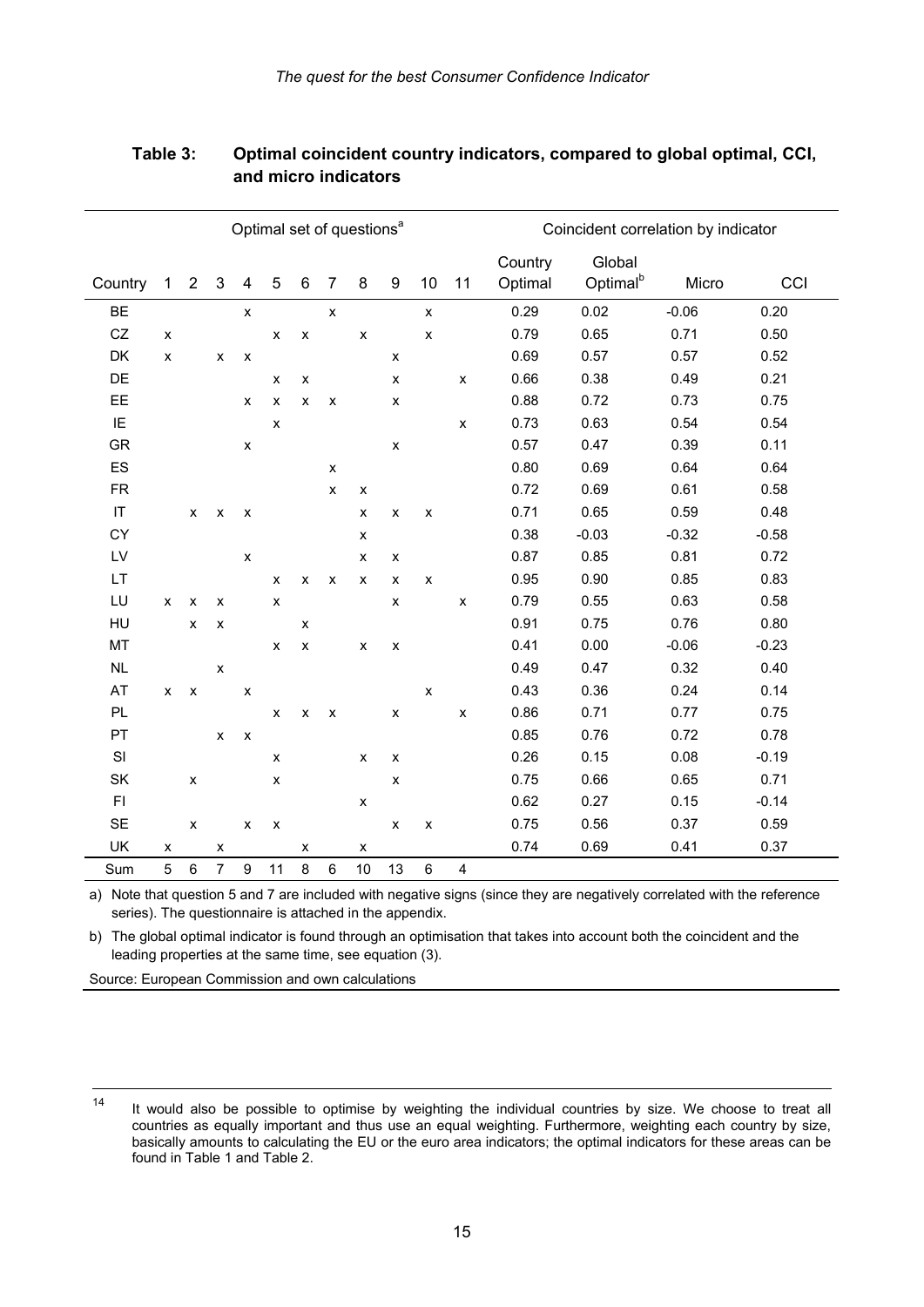| Optimal set of questions <sup>a</sup> |                    |                    |                    |                           |                           |                    |                    |                    |                           | Coincident correlation by indicator |                    |                    |                                |         |         |
|---------------------------------------|--------------------|--------------------|--------------------|---------------------------|---------------------------|--------------------|--------------------|--------------------|---------------------------|-------------------------------------|--------------------|--------------------|--------------------------------|---------|---------|
| Country                               | $\mathbf 1$        | $\overline{2}$     | $\mathsf 3$        | $\overline{4}$            | 5                         | $\,6\,$            | $\overline{7}$     | $\bf 8$            | $\boldsymbol{9}$          | 10                                  | 11                 | Country<br>Optimal | Global<br>Optimal <sup>b</sup> | Micro   | CCI     |
| <b>BE</b>                             |                    |                    |                    | $\pmb{\mathsf{x}}$        |                           |                    | $\pmb{\mathsf{x}}$ |                    |                           | $\pmb{\mathsf{x}}$                  |                    | 0.29               | 0.02                           | $-0.06$ | 0.20    |
| CZ                                    | $\pmb{\mathsf{x}}$ |                    |                    |                           | $\pmb{\times}$            | $\pmb{\mathsf{x}}$ |                    | $\pmb{\mathsf{x}}$ |                           | $\pmb{\times}$                      |                    | 0.79               | 0.65                           | 0.71    | 0.50    |
| DK                                    | X                  |                    | X                  | $\pmb{\mathsf{x}}$        |                           |                    |                    |                    | $\boldsymbol{\mathsf{x}}$ |                                     |                    | 0.69               | 0.57                           | 0.57    | 0.52    |
| DE                                    |                    |                    |                    |                           | x                         | $\pmb{\mathsf{x}}$ |                    |                    | $\boldsymbol{\mathsf{x}}$ |                                     | $\pmb{\mathsf{x}}$ | 0.66               | 0.38                           | 0.49    | 0.21    |
| EE                                    |                    |                    |                    | $\pmb{\mathsf{x}}$        | $\pmb{\mathsf{x}}$        | $\pmb{\mathsf{x}}$ | X                  |                    | X                         |                                     |                    | 0.88               | 0.72                           | 0.73    | 0.75    |
| IE                                    |                    |                    |                    |                           | $\pmb{\times}$            |                    |                    |                    |                           |                                     | $\pmb{\mathsf{x}}$ | 0.73               | 0.63                           | 0.54    | 0.54    |
| <b>GR</b>                             |                    |                    |                    | $\pmb{\mathsf{x}}$        |                           |                    |                    |                    | $\boldsymbol{\mathsf{x}}$ |                                     |                    | 0.57               | 0.47                           | 0.39    | 0.11    |
| ES                                    |                    |                    |                    |                           |                           |                    | X                  |                    |                           |                                     |                    | 0.80               | 0.69                           | 0.64    | 0.64    |
| <b>FR</b>                             |                    |                    |                    |                           |                           |                    | $\pmb{\mathsf{x}}$ | X                  |                           |                                     |                    | 0.72               | 0.69                           | 0.61    | 0.58    |
| $\ensuremath{\mathsf{IT}}\xspace$     |                    | X                  | $\pmb{\times}$     | $\boldsymbol{\mathsf{x}}$ |                           |                    |                    | $\pmb{\mathsf{x}}$ | X                         | $\pmb{\mathsf{x}}$                  |                    | 0.71               | 0.65                           | 0.59    | 0.48    |
| CY                                    |                    |                    |                    |                           |                           |                    |                    | $\pmb{\mathsf{x}}$ |                           |                                     |                    | 0.38               | $-0.03$                        | $-0.32$ | $-0.58$ |
| LV                                    |                    |                    |                    | $\pmb{\mathsf{x}}$        |                           |                    |                    | X                  | X                         |                                     |                    | 0.87               | 0.85                           | 0.81    | 0.72    |
| LT                                    |                    |                    |                    |                           | $\pmb{\times}$            | $\pmb{\mathsf{x}}$ | $\pmb{\mathsf{x}}$ | $\pmb{\mathsf{x}}$ | X                         | $\pmb{\times}$                      |                    | 0.95               | 0.90                           | 0.85    | 0.83    |
| LU                                    | X                  | X                  | X                  |                           | $\pmb{\mathsf{x}}$        |                    |                    |                    | $\pmb{\times}$            |                                     | $\pmb{\mathsf{x}}$ | 0.79               | 0.55                           | 0.63    | 0.58    |
| HU                                    |                    | $\pmb{\times}$     | $\pmb{\mathsf{x}}$ |                           |                           | X                  |                    |                    |                           |                                     |                    | 0.91               | 0.75                           | 0.76    | 0.80    |
| MT                                    |                    |                    |                    |                           | X                         | $\pmb{\mathsf{X}}$ |                    | X                  | $\boldsymbol{\mathsf{x}}$ |                                     |                    | 0.41               | 0.00                           | $-0.06$ | $-0.23$ |
| NL                                    |                    |                    | X                  |                           |                           |                    |                    |                    |                           |                                     |                    | 0.49               | 0.47                           | 0.32    | 0.40    |
| AT                                    | x                  | $\pmb{\mathsf{x}}$ |                    | $\pmb{\mathsf{x}}$        |                           |                    |                    |                    |                           | $\pmb{\times}$                      |                    | 0.43               | 0.36                           | 0.24    | 0.14    |
| PL                                    |                    |                    |                    |                           | x                         | $\pmb{\mathsf{x}}$ | $\pmb{\times}$     |                    | $\pmb{\times}$            |                                     | $\pmb{\mathsf{X}}$ | 0.86               | 0.71                           | 0.77    | 0.75    |
| PT                                    |                    |                    | X                  | $\pmb{\mathsf{x}}$        |                           |                    |                    |                    |                           |                                     |                    | 0.85               | 0.76                           | 0.72    | 0.78    |
| SI                                    |                    |                    |                    |                           | X                         |                    |                    | $\pmb{\mathsf{x}}$ | X                         |                                     |                    | 0.26               | 0.15                           | 0.08    | $-0.19$ |
| SK                                    |                    | $\pmb{\mathsf{x}}$ |                    |                           | X                         |                    |                    |                    | $\boldsymbol{\mathsf{x}}$ |                                     |                    | 0.75               | 0.66                           | 0.65    | 0.71    |
| F1                                    |                    |                    |                    |                           |                           |                    |                    | $\pmb{\mathsf{x}}$ |                           |                                     |                    | 0.62               | 0.27                           | 0.15    | $-0.14$ |
| <b>SE</b>                             |                    | $\pmb{\mathsf{x}}$ |                    | $\pmb{\times}$            | $\boldsymbol{\mathsf{x}}$ |                    |                    |                    | $\boldsymbol{\mathsf{x}}$ | $\pmb{\mathsf{X}}$                  |                    | 0.75               | 0.56                           | 0.37    | 0.59    |
| UK                                    | х                  |                    | X                  |                           |                           | х                  |                    | X                  |                           |                                     |                    | 0.74               | 0.69                           | 0.41    | 0.37    |
| Sum                                   | 5                  | $\,6\,$            | $\overline{7}$     | $\boldsymbol{9}$          | 11                        | 8                  | $\,6\,$            | $10$               | 13                        | 6                                   | 4                  |                    |                                |         |         |

#### **Table 3: Optimal coincident country indicators, compared to global optimal, CCI, and micro indicators**

a) Note that question 5 and 7 are included with negative signs (since they are negatively correlated with the reference series). The questionnaire is attached in the appendix.

b) The global optimal indicator is found through an optimisation that takes into account both the coincident and the leading properties at the same time, see equation (3).

Source: European Commission and own calculations

 $14$ It would also be possible to optimise by weighting the individual countries by size. We choose to treat all countries as equally important and thus use an equal weighting. Furthermore, weighting each country by size, basically amounts to calculating the EU or the euro area indicators; the optimal indicators for these areas can be found in Table 1 and Table 2.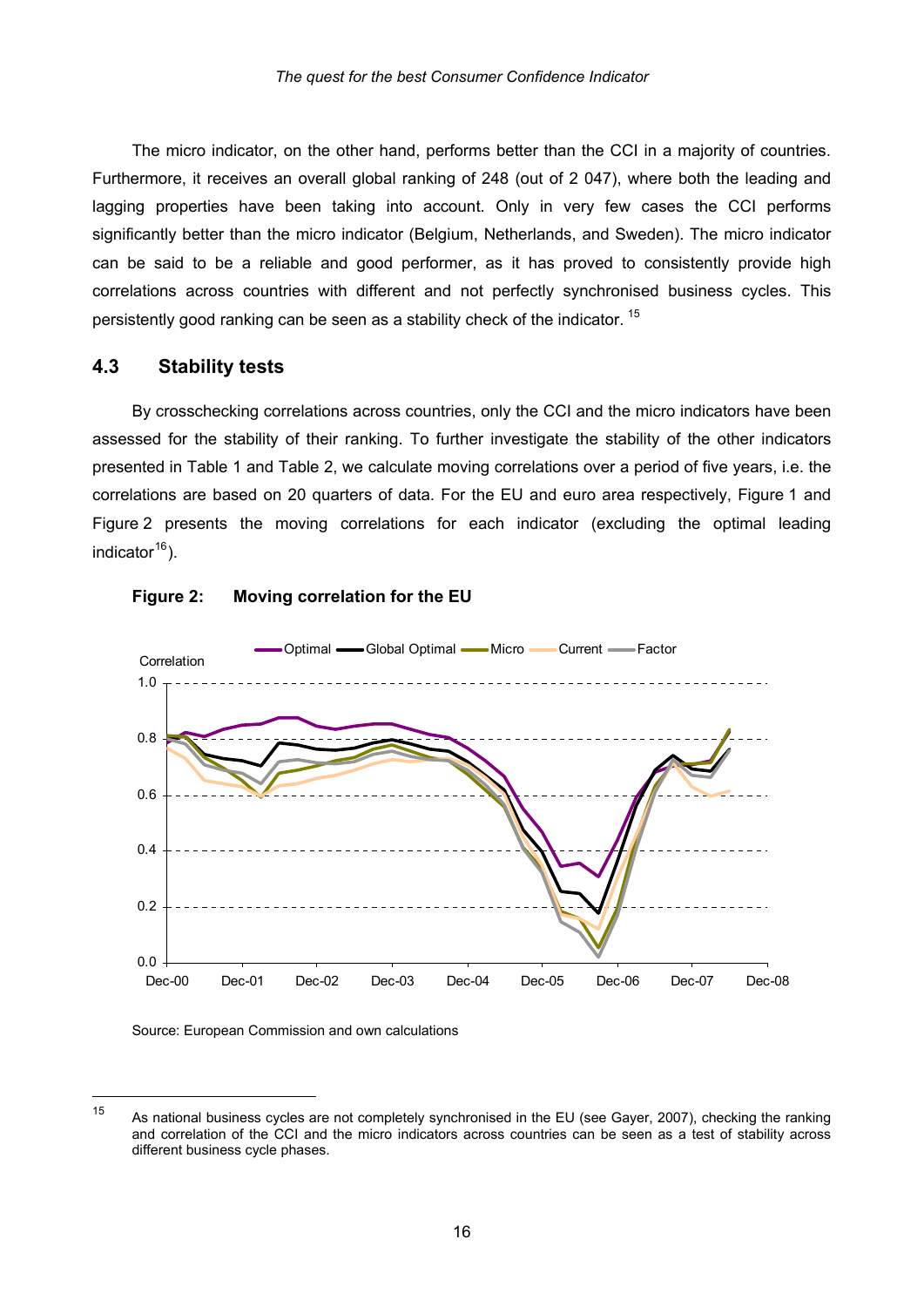The micro indicator, on the other hand, performs better than the CCI in a majority of countries. Furthermore, it receives an overall global ranking of 248 (out of 2 047), where both the leading and lagging properties have been taking into account. Only in very few cases the CCI performs significantly better than the micro indicator (Belgium, Netherlands, and Sweden). The micro indicator can be said to be a reliable and good performer, as it has proved to consistently provide high correlations across countries with different and not perfectly synchronised business cycles. This persistently good ranking can be seen as a stability check of the indicator. <sup>[15](#page-18-0)</sup>

#### **4.3 Stability tests**

By crosschecking correlations across countries, only the CCI and the micro indicators have been assessed for the stability of their ranking. To further investigate the stability of the other indicators presented in Table 1 and Table 2, we calculate moving correlations over a period of five years, i.e. the correlations are based on 20 quarters of data. For the EU and euro area respectively, Figure 1 and Figure 2 presents the moving correlations for each indicator (excluding the optimal leading indicator $16$ ).





Source: European Commission and own calculations

1

<span id="page-18-0"></span>As national business cycles are not completely synchronised in the EU (see Gayer, 2007), checking the ranking and correlation of the CCI and t he micro indicators across countries can be seen as a test of stability across 15 different business cycle phases.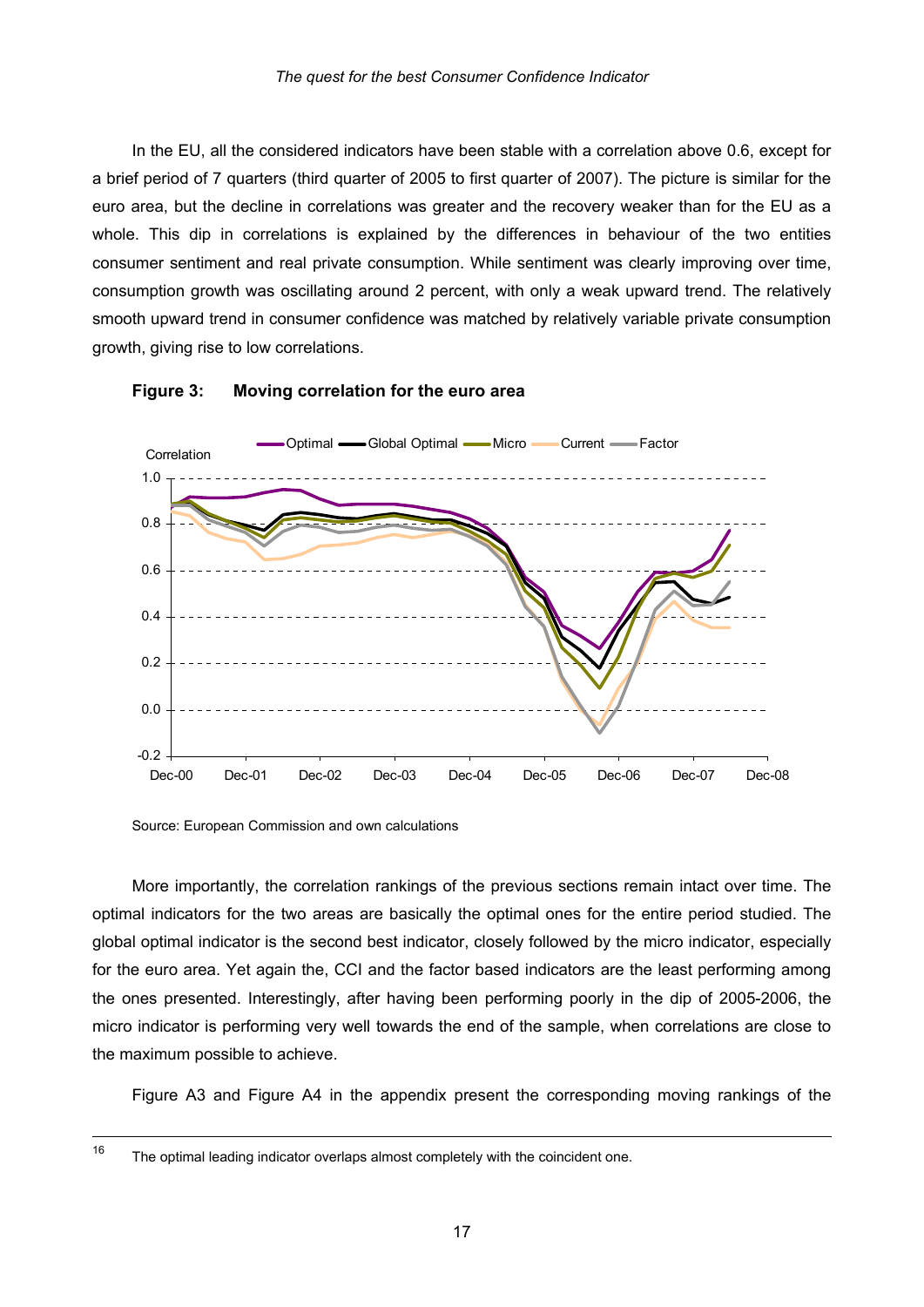In the EU, all the considered indicators have been stable with a correlation above 0.6, except for a brief period of 7 quarters (third quarter of 2005 to first quarter of 2007). The picture is similar for the euro area, but the decline in correlations was greater and the recovery weaker than for the EU as a whole. This dip in correlations is explained by the differences in behaviour of the two entities consumer sentiment and real private consumption. While sentiment was clearly improving over time, consumption growth was oscillating around 2 percent, with only a weak upward trend. The relatively smooth upward trend in consumer confidence was matched by relatively variable private consumption growth, giving rise to low correlations.





Source: European Commission and own calculations

More importantly, the correlation rankings of the previous sections remain intact over time. The optimal indicators for the two areas are basically the optimal ones for the entire period studied. The global optimal indicator is the second best indicator, closely followed by the micro indicator, especially for the euro area. Yet again the, CCI and the factor based indicators are the least performing among the ones presented. Interestingly, after having been performing poorly in the dip of 2005-2006, the micro indicator is performing very well towards the end of the sample, when correlations are close to the maximum possible to achieve.

Figure A3 and Figure A4 in the appendix present the corresponding moving rankings of the

 $16$ The optimal leading indicator overlaps almost completely with the coincident one.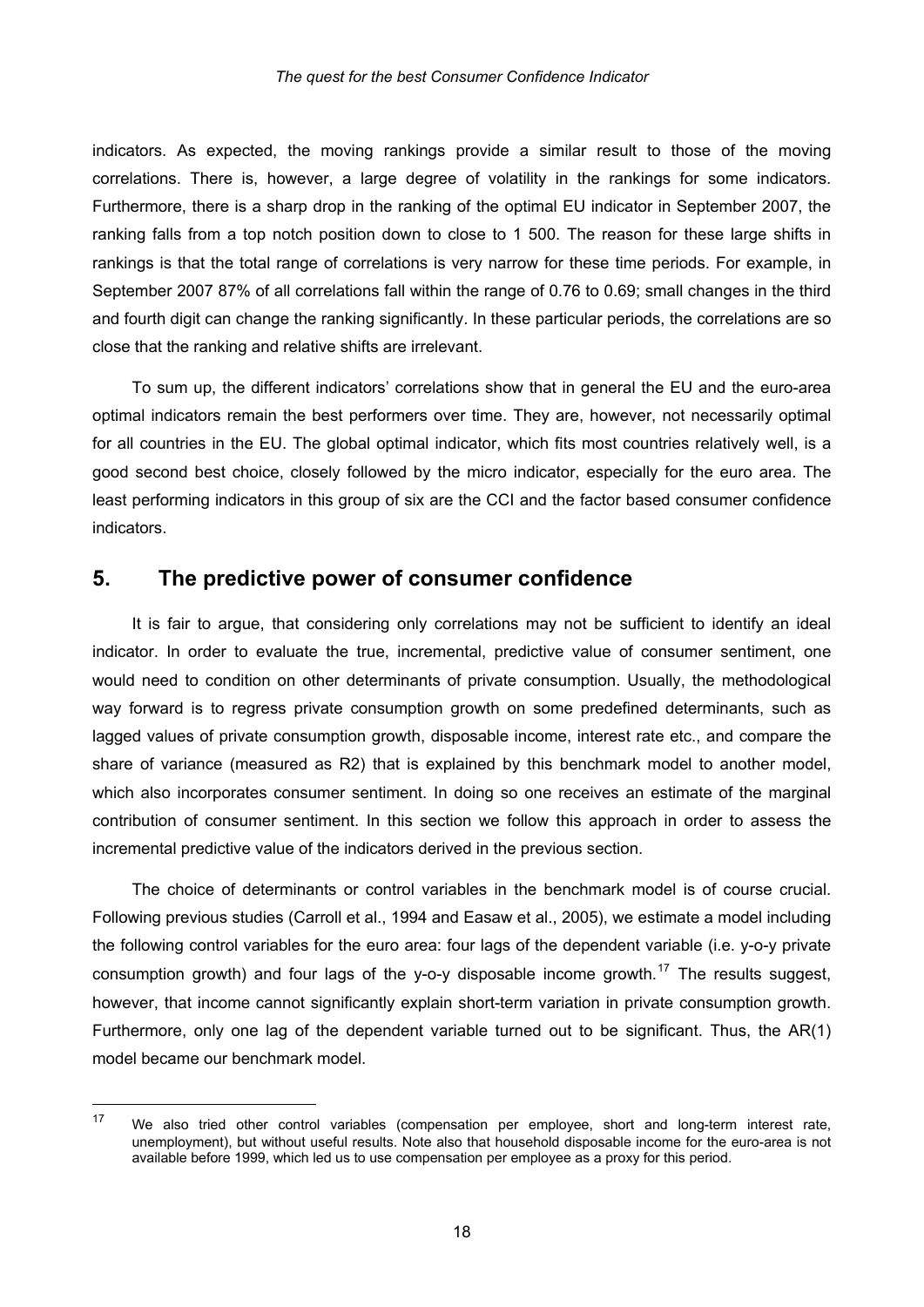indicators. As expected, the moving rankings provide a similar result to those of the moving correlations. There is, however, a large degree of volatility in the rankings for some indicators. Furthermore, there is a sharp drop in the ranking of the optimal EU indicator in September 2007, the ranking falls from a top notch position down to close to 1 500. The reason for these large shifts in rankings is that the total range of correlations is very narrow for these time periods. For example, in September 2007 87% of all correlations fall within the range of 0.76 to 0.69; small changes in the third and fourth di git can change the ranking significantly. In these particular periods, the correlations are so close that the ranking and relative shifts are irrelevant.

good second best choice, closely followed by the micro indicator, especially for the euro area. The least performing indicators in this group of six are the CCI and the factor based consumer confidence To sum up, the different indicators' correlations show that in general the EU and the euro-area optimal indicators remain the best performers over time. They are, however, not necessarily optimal for all countries in the EU. The global optimal indicator, which fits most countries relatively well, is a indicators.

#### **5. The predictive power of consumer confidence**

which also incorporates consumer sentiment. In doing so one receives an estimate of the marginal contribution of consumer sentiment. In this section we follow this approach in order to assess the It is fair to argue, that considering only correlations may not be sufficient to identify an ideal indicator. In order to evaluate the true, incremental, predictive value of consumer sentiment, one would need to condition on other determinants of private consumption. Usually, the methodological way forward is to regress private consumption growth on some predefined determinants, such as lagged values of private consumption growth, disposable income, interest rate etc., and compare the share of variance (measured as R2) that is explained by this benchmark model to another model, incremental predictive value of the indicators derived in the previous section.

however, that income cannot significantly explain short-term variation in private consumption growth. Furthermore, only one lag of the dependent variable turned out to be significant. Thus, the AR(1) model became our benchmark model. The choice of determinants or control variables in the benchmark model is of course crucial. Following previous studies (Carroll et al., 1994 and Easaw et al., 2005), we estimate a model including the following control variables for the euro area: four lags of the dependent variable (i.e. y-o-y private consumption growth) and four lags of the y-o-y disposable income growth.<sup>[17](#page-20-0)</sup> The results suggest.

<span id="page-20-0"></span> $17$ We also tried other control variables (compensation per employee, short and long-term interest rate, unemployment), but without useful results. Note also that household disposable income for the euro-area is not available before 1999, which led us to use compensation per employee as a proxy for this period.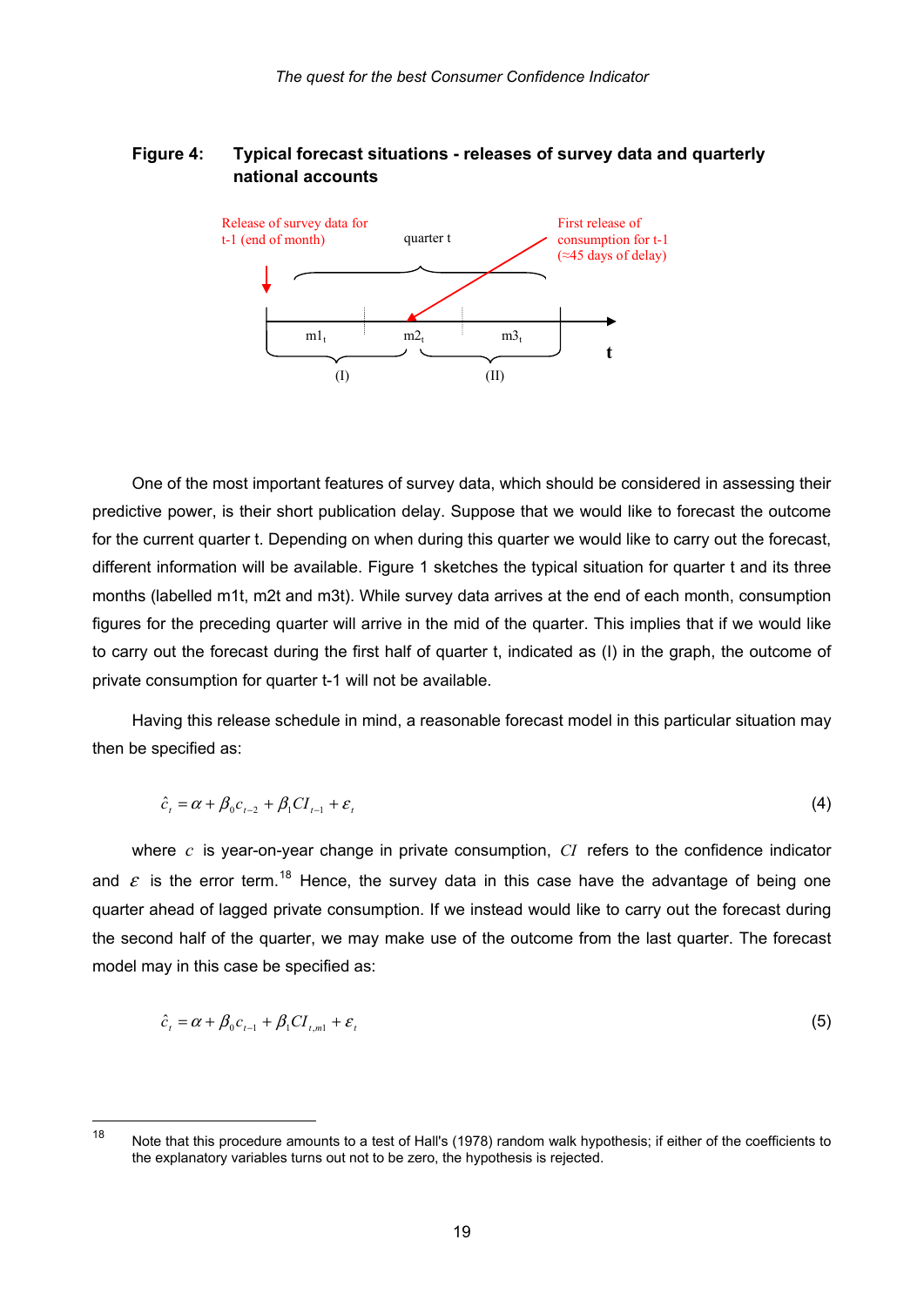#### **Figure 4: Typical forecast situations - releases of survey data and quarterly national accounts**



One of the most important features of survey data, which should be considered in assessing their predictive power, is their short publication delay. Suppose that we would like to forecast the outcome for the current quarter t. Depending on when during this quarter we would like to carry out the forecast, different information will be available. Figure 1 sketches the typical situation for quarter t and its three months (labelled m1t, m2t and m3t). While survey data arrives at the end of each month, consumption figures for the preceding quarter will arrive in the mid of the quarter. This implies that if we would like to carry out the forecast during the first half of quarter t, indicated as (I) in the graph, the outcome of private consumption for quarter t-1 will not be available.

Having this release schedule in mind, a reasonable forecast model in this particular situation may then be specified as:

$$
\hat{c}_t = \alpha + \beta_0 c_{t-2} + \beta_1 C I_{t-1} + \varepsilon_t \tag{4}
$$

where  $c$  is year-on-year change in private consumption,  $CI$  refers to the confidence indicator and  $\varepsilon$  is the error term.<sup>[18](#page-21-0)</sup> Hence, the survey data in this case have the advantage of being one quarter ahead of lagged private consumption. If we instead would like to carry out the forecast during the second half of the quarter, we may make use of the outcome from the last quarter. The forecast model may in this case be specified as:

$$
\hat{c}_t = \alpha + \beta_0 c_{t-1} + \beta_1 C I_{t,m1} + \varepsilon_t \tag{5}
$$

<span id="page-21-0"></span><sup>18</sup> Note that this procedure amounts to a test of Hall's (1978) random walk hypothesis; if either of the coefficients to the explanatory variables turns out not to be zero, the hypothesis is rejected.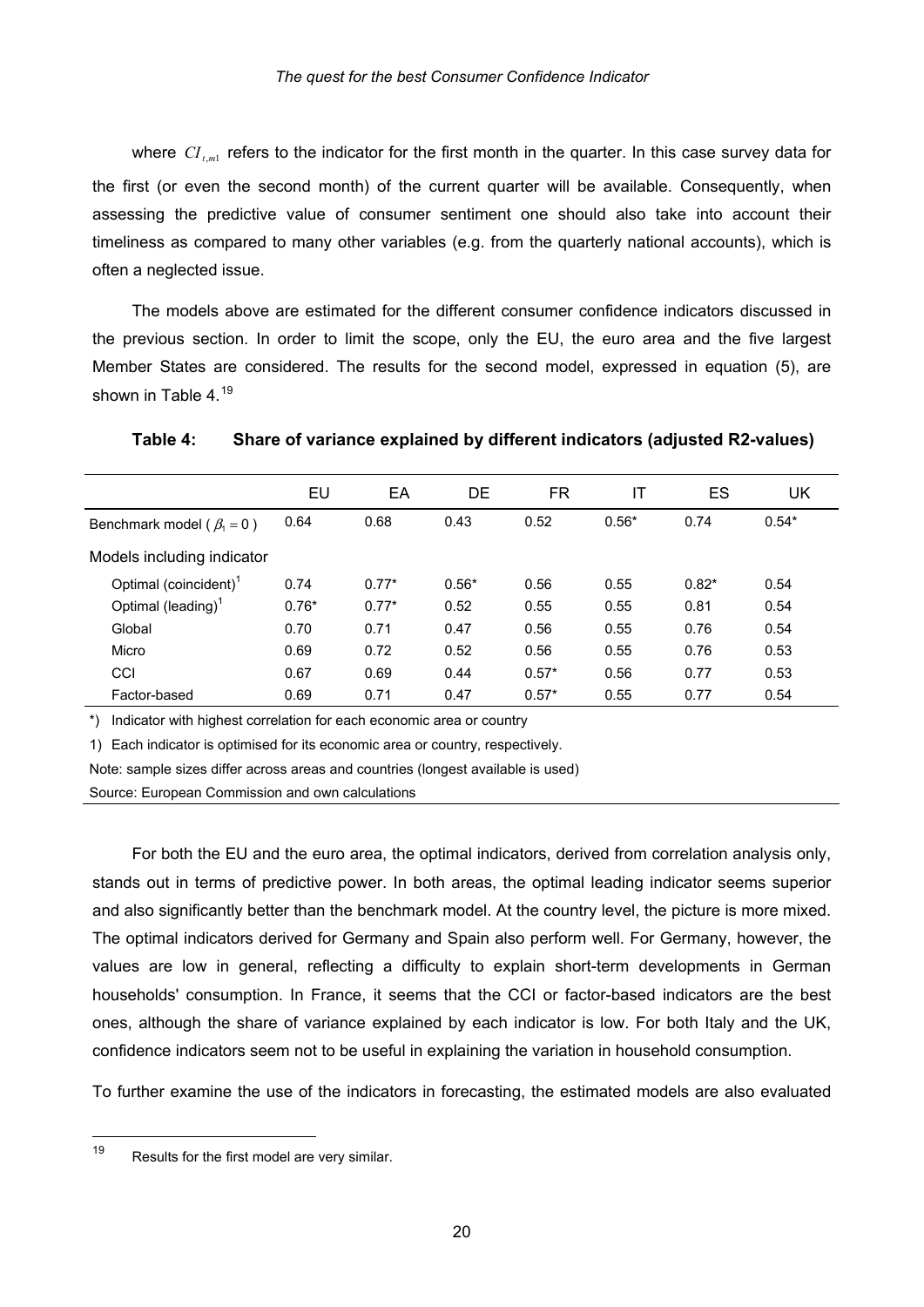where  $CI_{t,ml}$  refers to the indicator for the first month in the quarter. In this case survey data for the first (or even the second month) of the current quarter will be available. Consequently, when assessing the predictive value of consumer sentiment one should also take into account their timeliness as compared to many other variables (e.g. from the quarterly national accounts), which is often a neglected issue.

The models above are estimated for the different consumer confidence indicators discussed in the previous section. In order to limit the scope, only the EU, the euro area and the five largest Member States are considered. The results for the second model, expressed in equation (5), are shown in Table  $4^{19}$  $4^{19}$  $4^{19}$ 

| Table 4: | Share of variance explained by different indicators (adjusted R2-values) |  |  |  |
|----------|--------------------------------------------------------------------------|--|--|--|
|----------|--------------------------------------------------------------------------|--|--|--|

|                                   | EU      | EA      | DE      | FR      | ΙT      | ES      | UK      |
|-----------------------------------|---------|---------|---------|---------|---------|---------|---------|
| Benchmark model ( $\beta_1 = 0$ ) | 0.64    | 0.68    | 0.43    | 0.52    | $0.56*$ | 0.74    | $0.54*$ |
| Models including indicator        |         |         |         |         |         |         |         |
| Optimal (coincident) <sup>1</sup> | 0.74    | $0.77*$ | $0.56*$ | 0.56    | 0.55    | $0.82*$ | 0.54    |
| Optimal (leading) <sup>1</sup>    | $0.76*$ | $0.77*$ | 0.52    | 0.55    | 0.55    | 0.81    | 0.54    |
| Global                            | 0.70    | 0.71    | 0.47    | 0.56    | 0.55    | 0.76    | 0.54    |
| Micro                             | 0.69    | 0.72    | 0.52    | 0.56    | 0.55    | 0.76    | 0.53    |
| CCI                               | 0.67    | 0.69    | 0.44    | $0.57*$ | 0.56    | 0.77    | 0.53    |
| Factor-based                      | 0.69    | 0.71    | 0.47    | $0.57*$ | 0.55    | 0.77    | 0.54    |

\*) Indicator with highest correlation for each economic area or country

1) Each indicator is optimised for its economic area or country, respectively.

Note: sample sizes differ across areas and countries (longest available is used)

Source: European Commission and own calculations

For both the EU and the euro area, the optimal indicators, derived from correlation analysis only, stands out in terms of predictive power. In both areas, the optimal leading indicator seems superior and also significantly better than the benchmark model. At the country level, the picture is more mixed. The optimal indicators derived for Germany and Spain also perform well. For Germany, however, the values are low in general, reflecting a difficulty to explain short-term developments in German households' consumption. In France, it seems that the CCI or factor-based indicators are the best ones, although the share of variance explained by each indicator is low. For both Italy and the UK, confidence indicators seem not to be useful in explaining the variation in household consumption.

To further examine the use of the indicators in forecasting, the estimated models are also evaluated

<span id="page-22-0"></span><sup>19</sup> Results for the first model are very similar.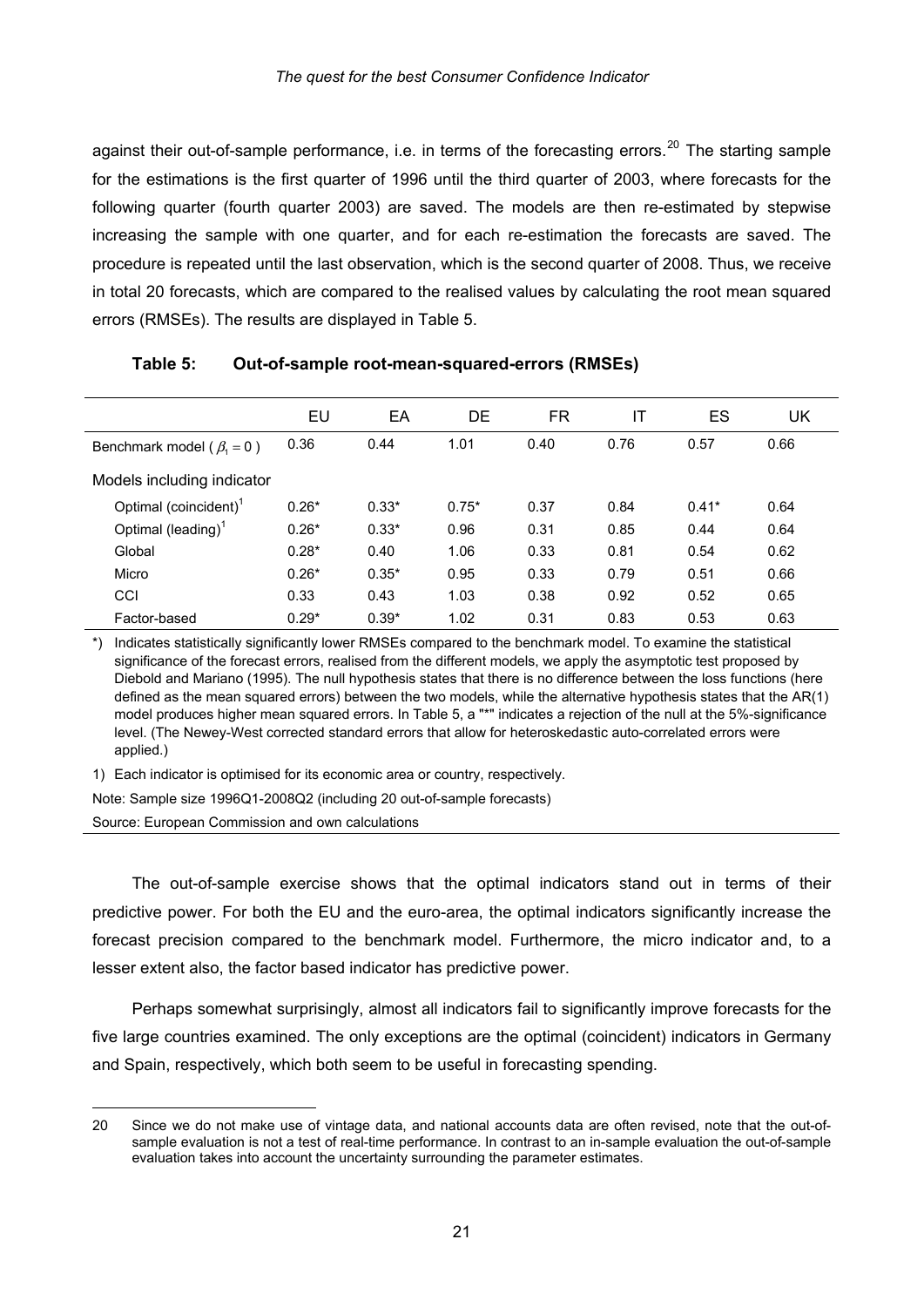against their out-of-sample performance, i.e. in terms of the forecasting errors.<sup>[20](#page-23-0)</sup> The starting sample for the estimations is the first quarter of 1996 until the third quarter of 2003, where forecasts for the following quarter (fourth quarter 2003) are saved. The models are then re-estimated by stepwise increasing the sample with one quarter, and for each re-estimation the forecasts are saved. The procedure is repeated until the last observation, which is the second quarter of 2008. Thus, we receive in total 20 forecasts, which are compared to the realised values by calculating the root mean squared errors (RMSEs). The results are displayed in Table 5.

|                                   | EU      | EA      | DE      | FR   | IT   | ES      | UK   |
|-----------------------------------|---------|---------|---------|------|------|---------|------|
| Benchmark model ( $\beta_1 = 0$ ) | 0.36    | 0.44    | 1.01    | 0.40 | 0.76 | 0.57    | 0.66 |
| Models including indicator        |         |         |         |      |      |         |      |
| Optimal (coincident) <sup>1</sup> | $0.26*$ | $0.33*$ | $0.75*$ | 0.37 | 0.84 | $0.41*$ | 0.64 |
| Optimal (leading) <sup>1</sup>    | $0.26*$ | $0.33*$ | 0.96    | 0.31 | 0.85 | 0.44    | 0.64 |
| Global                            | $0.28*$ | 0.40    | 1.06    | 0.33 | 0.81 | 0.54    | 0.62 |
| Micro                             | $0.26*$ | $0.35*$ | 0.95    | 0.33 | 0.79 | 0.51    | 0.66 |
| CCI                               | 0.33    | 0.43    | 1.03    | 0.38 | 0.92 | 0.52    | 0.65 |
| Factor-based                      | $0.29*$ | $0.39*$ | 1.02    | 0.31 | 0.83 | 0.53    | 0.63 |

#### **Table 5: Out-of-sample root-mean-squared-errors (RMSEs)**

\*) Indicates statistically significantly lower RMSEs compared to the benchmark model. To examine the statistical significance of the forecast errors, realised from the different models, we apply the asymptotic test proposed by Diebold and Mariano (1995). The null hypothesis states that there is no difference between the loss functions (here defined as the mean squared errors) between the two models, while the alternative hypothesis states that the AR(1) model produces higher mean squared errors. In Table 5, a "\*" indicates a rejection of the null at the 5%-significance level. (The Newey-West corrected standard errors that allow for heteroskedastic auto-correlated errors were applied.)

1) Each indicator is optimised for its economic area or country, respectively.

Note: Sample size 1996Q1-2008Q2 (including 20 out-of-sample forecasts)

Source: European Commission and own calculations

-

The out-of-sample exercise shows that the optimal indicators stand out in terms of their predictive power. For both the EU and the euro-area, the optimal indicators significantly increase the forecast precision compared to the benchmark model. Furthermore, the micro indicator and, to a lesser extent also, the factor based indicator has predictive power.

Perhaps somewhat surprisingly, almost all indicators fail to significantly improve forecasts for the five large countries examined. The only exceptions are the optimal (coincident) indicators in Germany and Spain, respectively, which both seem to be useful in forecasting spending.

<span id="page-23-0"></span><sup>20</sup> Since we do not make use of vintage data, and national accounts data are often revised, note that the out-ofsample evaluation is not a test of real-time performance. In contrast to an in-sample evaluation the out-of-sample evaluation takes into account the uncertainty surrounding the parameter estimates.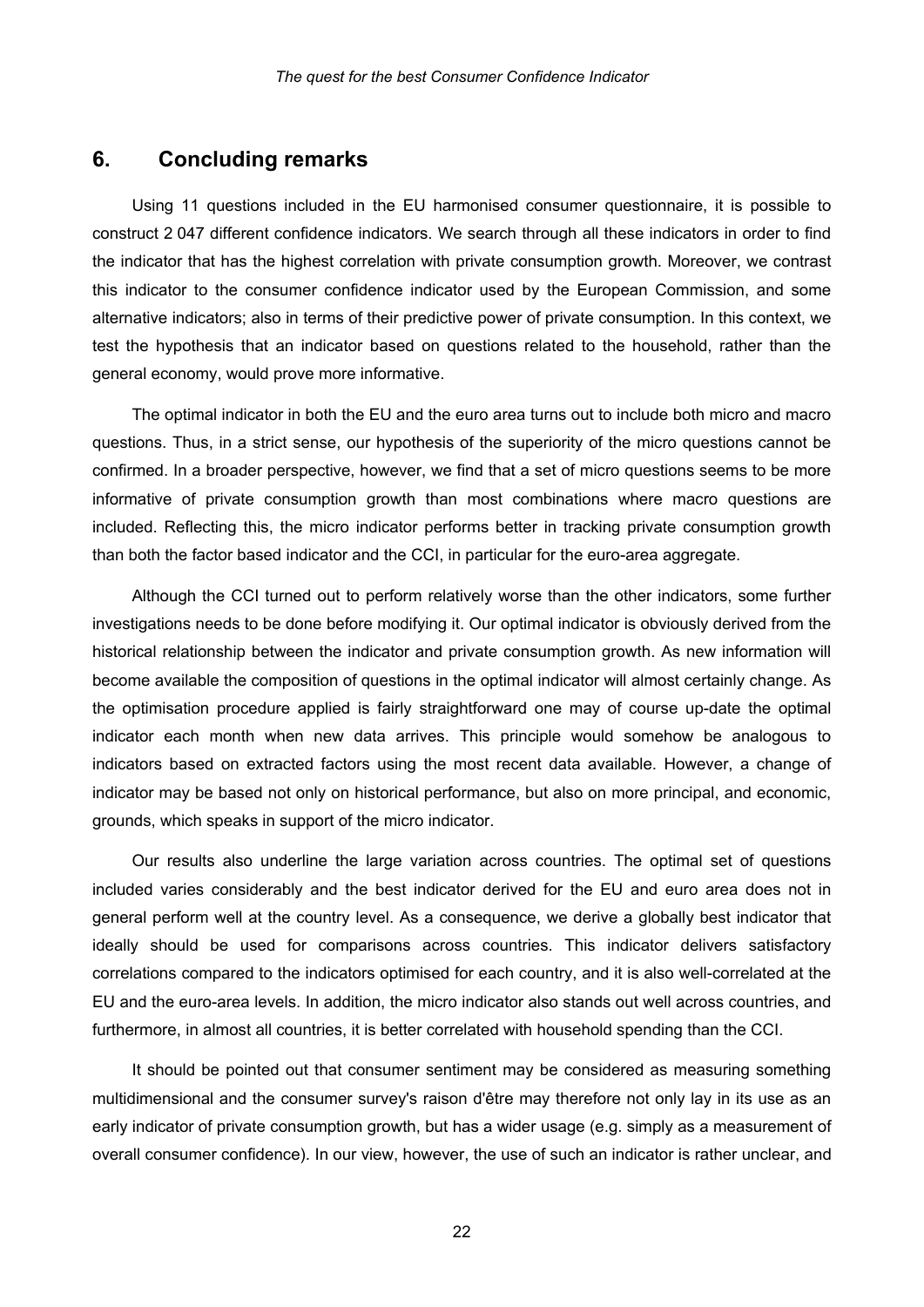#### **6. Concluding remarks**

Using 11 questions included in the EU harmonised consumer questionnaire, it is possible to construct 2 047 different confidence indicators. We search through all these indicators in order to find the indicator that has the highest correlation with private consumption growth. Moreover, we contrast this indicator to the consumer confidence indicator used by the European Commission, and some alternative indicators; also in terms of their predictive power of private consumption. In this context, we test the hypothesis that an indicator based on questions related to the household, rather than the general economy, would prove more informative.

The optimal indicator in both the EU and the euro area turns out to include both micro and macro questions. Thus, in a strict sense, our hypothesis of the superiority of the micro questions cannot be confirmed. In a broader perspective, however, we find that a set of micro questions seems to be more informative of private consumption growth than most combinations where macro questions are included. Reflecting this, the micro indicator performs better in tracking private consumption growth than both the factor based indicator and the CCI, in particular for the euro-area aggregate.

Although the CCI turned out to perform relatively worse than the other indicators, some further investigations needs to be done before modifying it. Our optimal indicator is obviously derived from the historical relationship between the indicator and private consumption growth. As new information will become available the composition of questions in the optimal indicator will almost certainly change. As the optimisation procedure applied is fairly straightforward one may of course up-date the optimal indicator each month when new data arrives. This principle would somehow be analogous to indicators based on extracted factors using the most recent data available. However, a change of indicator may be based not only on historical performance, but also on more principal, and economic, grounds, which speaks in support of the micro indicator.

Our results also underline the large variation across countries. The optimal set of questions included varies considerably and the best indicator derived for the EU and euro area does not in general perform well at the country level. As a consequence, we derive a globally best indicator that ideally should be used for comparisons across countries. This indicator delivers satisfactory correlations compared to the indicators optimised for each country, and it is also well-correlated at the EU and the euro-area levels. In addition, the micro indicator also stands out well across countries, and furthermore, in almost all countries, it is better correlated with household spending than the CCI.

It should be pointed out that consumer sentiment may be considered as measuring something multidimensional and the consumer survey's raison d'être may therefore not only lay in its use as an early indicator of private consumption growth, but has a wider usage (e.g. simply as a measurement of overall consumer confidence). In our view, however, the use of such an indicator is rather unclear, and

22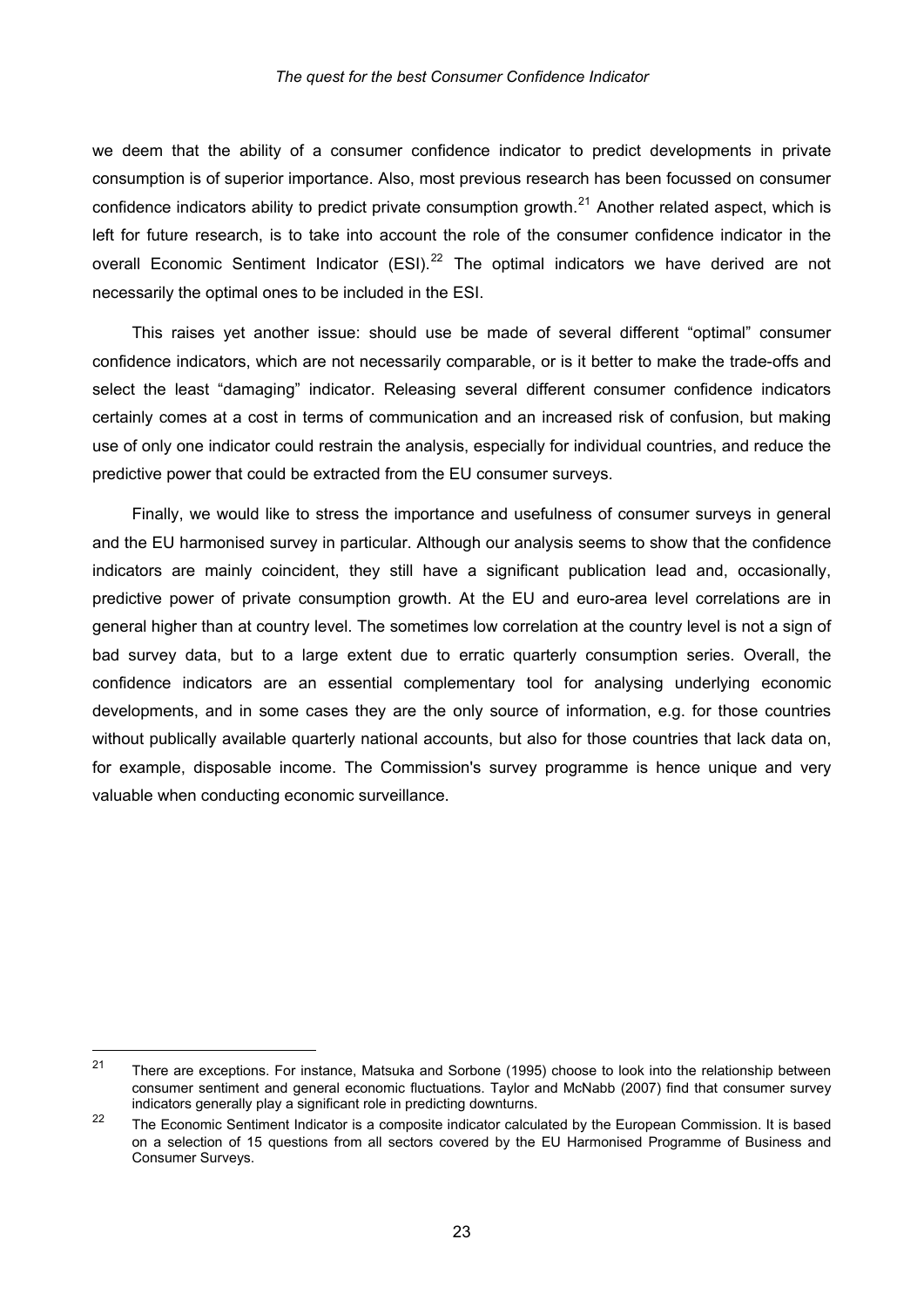we deem that the ability of a consumer confidence indicator to predict developments in private consumption is of superior importance. Also, most previous research has been focussed on consumer confidence indicators ability to predict private consumption growth.<sup>[21](#page-25-0)</sup> Another related aspect, which is left for future research, is to take into account the role of the consumer confidence indicator in the overall Economic Sentiment Indicator (ESI).<sup>[22](#page-25-1)</sup> The optimal indicators we have derived are not necessarily the optimal ones to be included in the ESI.

This raises yet another issue: should use be made of several different "optimal" consumer confidence indicators, which are not necessarily comparable, or is it better to make the trade-offs and select the least "damaging" indicator. Releasing several different consumer confidence indicators certainly comes at a cost in terms of communication and an increased risk of confusion, but making use of only one indicator could restrain the analysis, especially for individual countries, and reduce the predictive power that could be extracted from the EU consumer surveys.

Finally, we would like to stress the importance and usefulness of consumer surveys in general and the EU harmonised survey in particular. Although our analysis seems to show that the confidence indicators are mainly coincident, they still have a significant publication lead and, occasionally, predictive power of private consumption growth. At the EU and euro-area level correlations are in general higher than at country level. The sometimes low correlation at the country level is not a sign of bad survey data, but to a large extent due to erratic quarterly consumption series. Overall, the confidence indicators are an essential complementary tool for analysing underlying economic developments, and in some cases they are the only source of information, e.g. for those countries without publically available quarterly national accounts, but also for those countries that lack data on, for example, disposable income. The Commission's survey programme is hence unique and very valuable when conducting economic surveillance.

-

<span id="page-25-0"></span> $21$  There are exceptions. For instance, Matsuka and Sorbone (1995) choose to look into the relationship between consumer sentiment and general economic fluctuations. Taylor and McNabb (2007) find that consumer survey indicators generally play a significant role in predicting downturns.

<span id="page-25-1"></span><sup>22</sup> The Economic Sentiment Indicator is a composite indicator calculated by the European Commission. It is based on a selection of 15 questions from all sectors covered by the EU Harmonised Programme of Business and Consumer Surveys.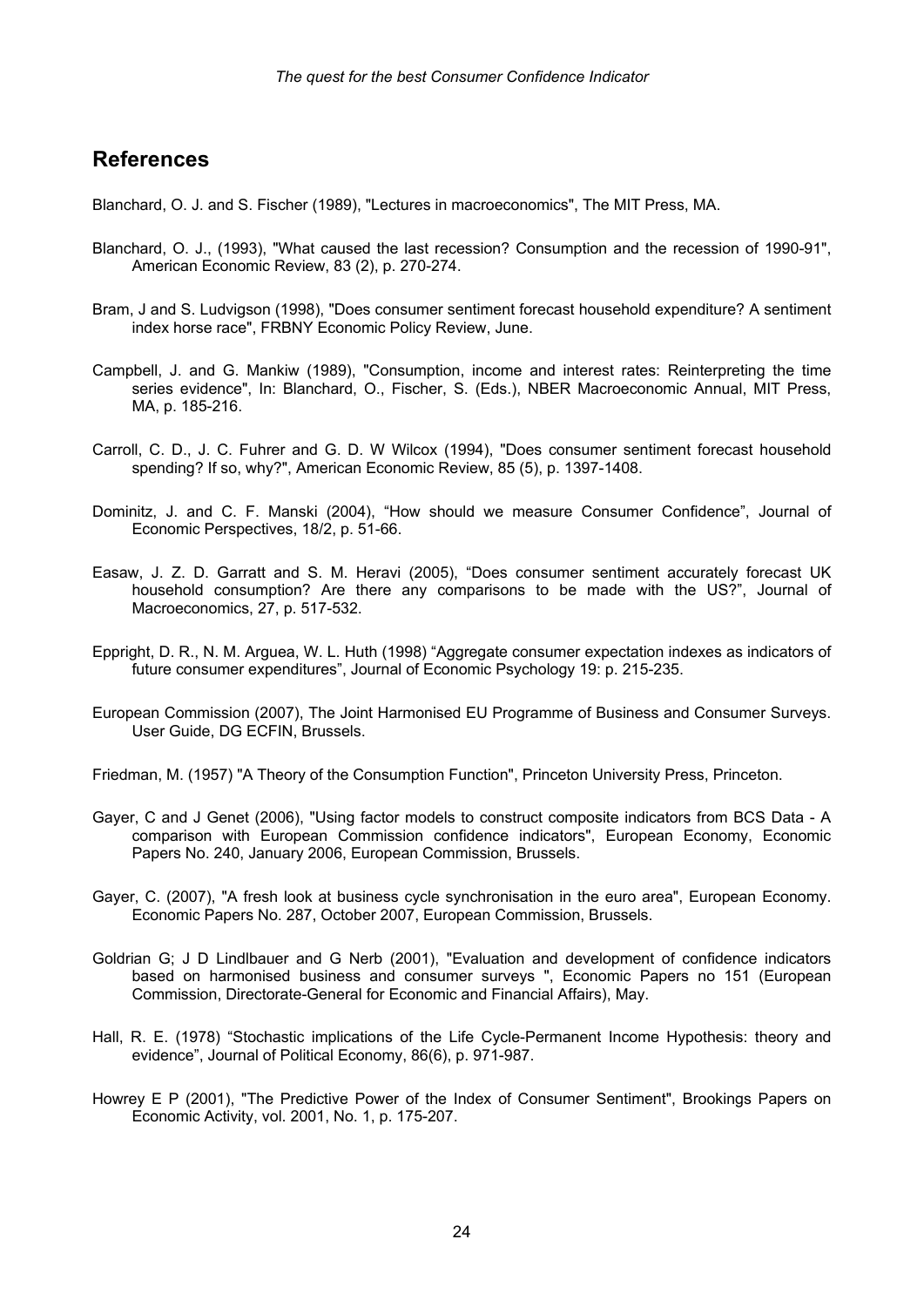#### **References**

Blanchard, O. J. and S. Fischer (1989), "Lectures in macroeconomics", The MIT Press, MA.

- Blanchard, O. J., (1993), "What caused the last recession? Consumption and the recession of 1990-91", American Economic Review, 83 (2), p. 270-274.
- Bram, J and S. Ludvigson (1998), "Does consumer sentiment forecast household expenditure? A sentiment index horse race", FRBNY Economic Policy Review, June.
- Campbell, J. and G. Mankiw (1989), "Consumption, income and interest rates: Reinterpreting the time series evidence", In: Blanchard, O., Fischer, S. (Eds.), NBER Macroeconomic Annual, MIT Press, MA, p. 185-216.
- Carroll, C. D., J. C. Fuhrer and G. D. W Wilcox (1994), "Does consumer sentiment forecast household spending? If so, why?", American Economic Review, 85 (5), p. 1397-1408.
- Dominitz, J. and C. F. Manski (2004), "How should we measure Consumer Confidence", Journal of Economic Perspectives, 18/2, p. 51-66.
- Easaw, J. Z. D. Garratt and S. M. Heravi (2005), "Does consumer sentiment accurately forecast UK household consumption? Are there any comparisons to be made with the US?", Journal of Macroeconomics, 27, p. 517-532.
- Eppright, D. R., N. M. Arguea, W. L. Huth (1998) "Aggregate consumer expectation indexes as indicators of future consumer expenditures", Journal of Economic Psychology 19: p. 215-235.
- European Commission (2007), The Joint Harmonised EU Programme of Business and Consumer Surveys. User Guide, DG ECFIN, Brussels.
- Friedman, M. (1957) "A Theory of the Consumption Function", Princeton University Press, Princeton.
- Gayer, C and J Genet (2006), "Using factor models to construct composite indicators from BCS Data A comparison with European Commission confidence indicators", European Economy, Economic Papers No. 240, January 2006, European Commission, Brussels.
- Gayer, C. (2007), "A fresh look at business cycle synchronisation in the euro area", European Economy. Economic Papers No. 287, October 2007, European Commission, Brussels.
- Goldrian G; J D Lindlbauer and G Nerb (2001), "Evaluation and development of confidence indicators based on harmonised business and consumer surveys ", Economic Papers no 151 (European Commission, Directorate-General for Economic and Financial Affairs), May.
- Hall, R. E. (1978) "Stochastic implications of the Life Cycle-Permanent Income Hypothesis: theory and evidence", Journal of Political Economy, 86(6), p. 971-987.
- Howrey E P (2001), "The Predictive Power of the Index of Consumer Sentiment", Brookings Papers on Economic Activity, vol. 2001, No. 1, p. 175-207.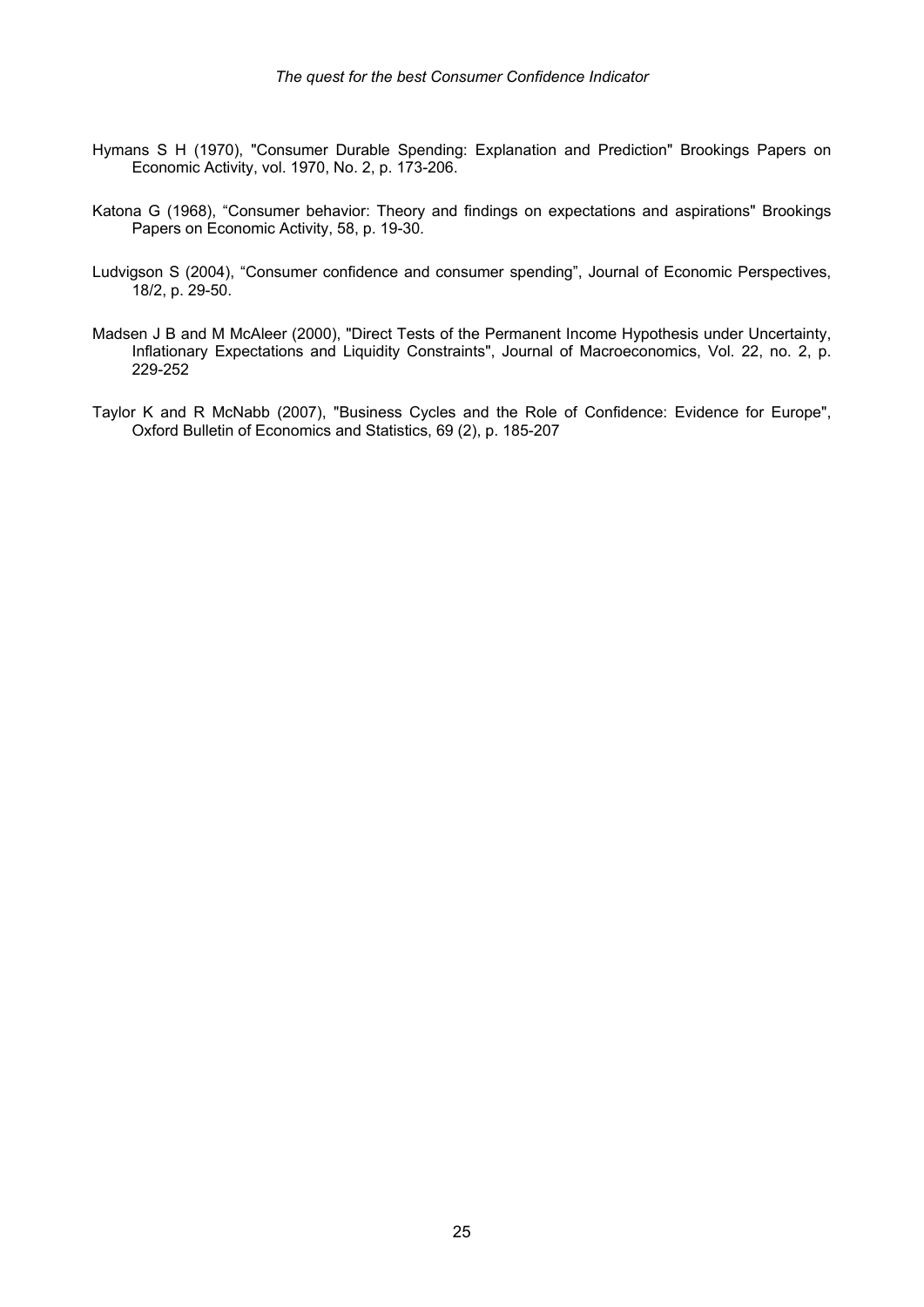- Hymans S H (1970), "Consumer Durable Spending: Explanation and Prediction" Brookings Papers on Economic Activity, vol. 1970, No. 2, p. 173-206.
- Katona G (1968), "Consumer behavior: Theory and findings on expectations and aspirations" Brookings Papers on Economic Activity, 58, p. 19-30.
- Ludvigson S (2004), "Consumer confidence and consumer spending", Journal of Economic Perspectives, 18/2, p. 29-50.
- Madsen J B and M McAleer (2000), "Direct Tests of the Permanent Income Hypothesis under Uncertainty, Inflationary Expectations and Liquidity Constraints", Journal of Macroeconomics, Vol. 22, no. 2, p. 229-252
- Taylor K and R McNabb (2007), "Business Cycles and the Role of Confidence: Evidence for Europe", Oxford Bulletin of Economics and Statistics, 69 (2), p. 185-207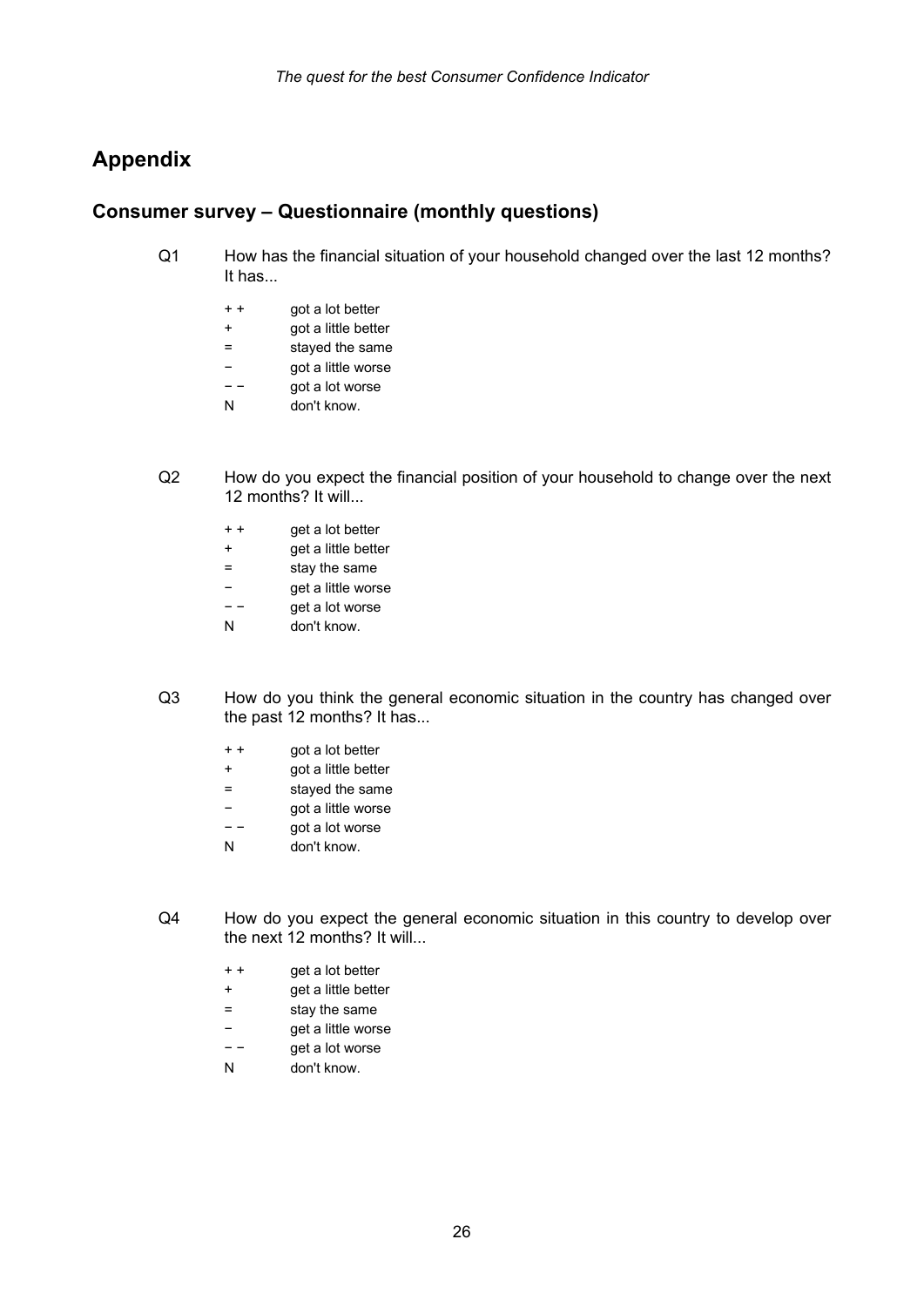### **Appendix**

#### **Consumer survey – Questionnaire (monthly questions)**

- Q1 How has the financial situation of your household changed over the last 12 months? It has...
	- + + got a lot better
	- + got a little better
	- = stayed the same
	- − got a little worse
	- − − got a lot worse
	- N don't know.
- Q2 How do you expect the financial position of your household to change over the next 12 months? It will...
	- + + get a lot better
	- + get a little better
	- = stay the same
	- − get a little worse
	- − − get a lot worse
	- N don't know.
- Q3 How do you think the general economic situation in the country has changed over the past 12 months? It has...
	- + + got a lot better
	- + got a little better
	- = stayed the same
	- − got a little worse
	- − − got a lot worse
	- N don't know.
- Q4 How do you expect the general economic situation in this country to develop over the next 12 months? It will...
	- + + get a lot better
	- + get a little better
	- = stay the same
	- − get a little worse
	- − − get a lot worse
	- N don't know.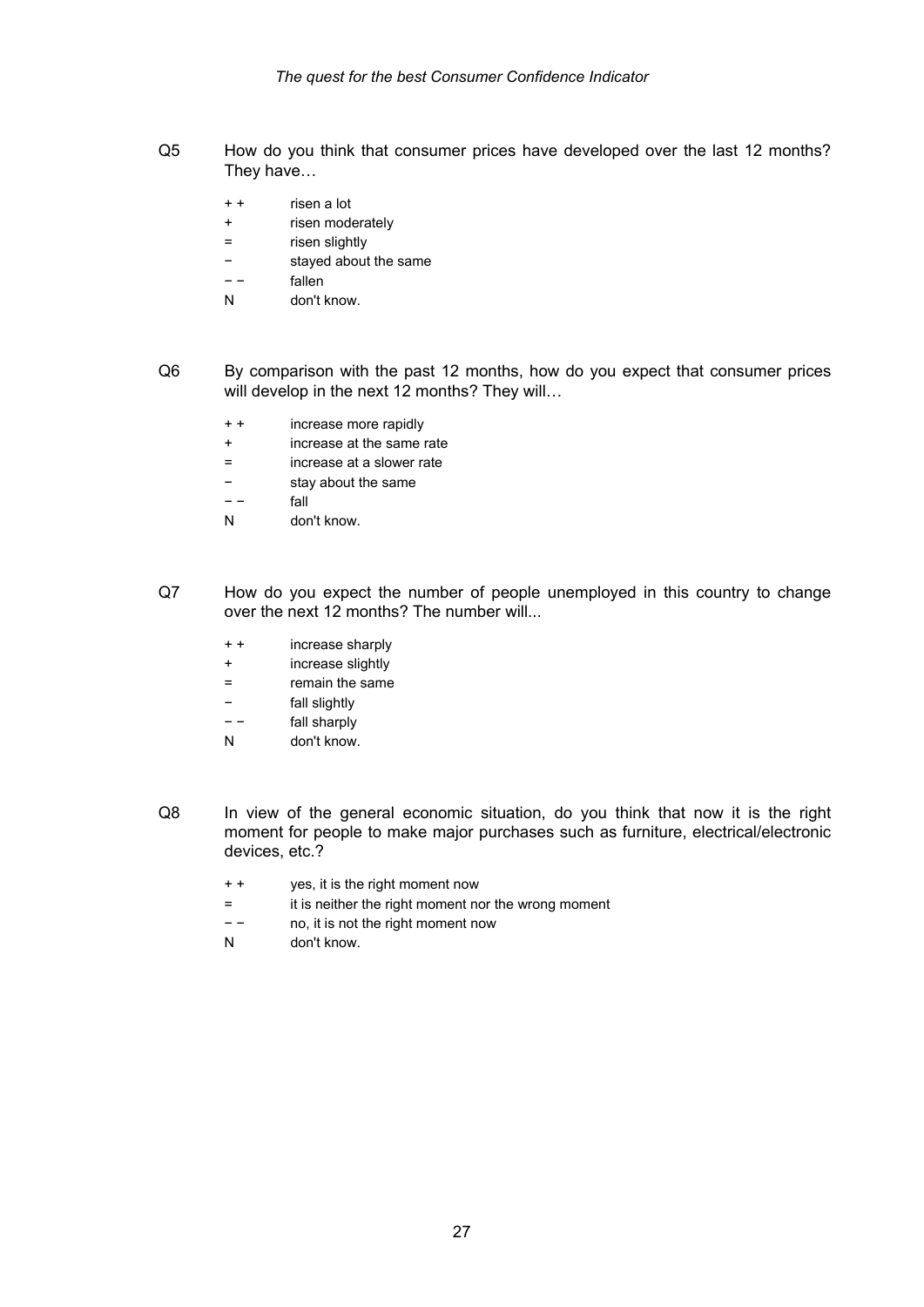- Q5 How do you think that consumer prices have developed over the last 12 months? They have…
	- + + risen a lot
	- + risen moderately
	- = risen slightly
	- − stayed about the same
	- − − fallen
	- N don't know.
- Q6 By comparison with the past 12 months, how do you expect that consumer prices will develop in the next 12 months? They will...
	- + + increase more rapidly
	- + increase at the same rate
	- = increase at a slower rate
	- − stay about the same
	- − − fall
	- N don't know.
- Q7 How do you expect the number of people unemployed in this country to change over the next 12 months? The number will...
	- + + increase sharply
	- + increase slightly
	- = remain the same
	- − fall slightly
	- − − fall sharply
	- N don't know.
- Q8 In view of the general economic situation, do you think that now it is the right moment for people to make major purchases such as furniture, electrical/electronic devices, etc.?
	- + + yes, it is the right moment now
	- = it is neither the right moment nor the wrong moment
	- − − no, it is not the right moment now
	- N don't know.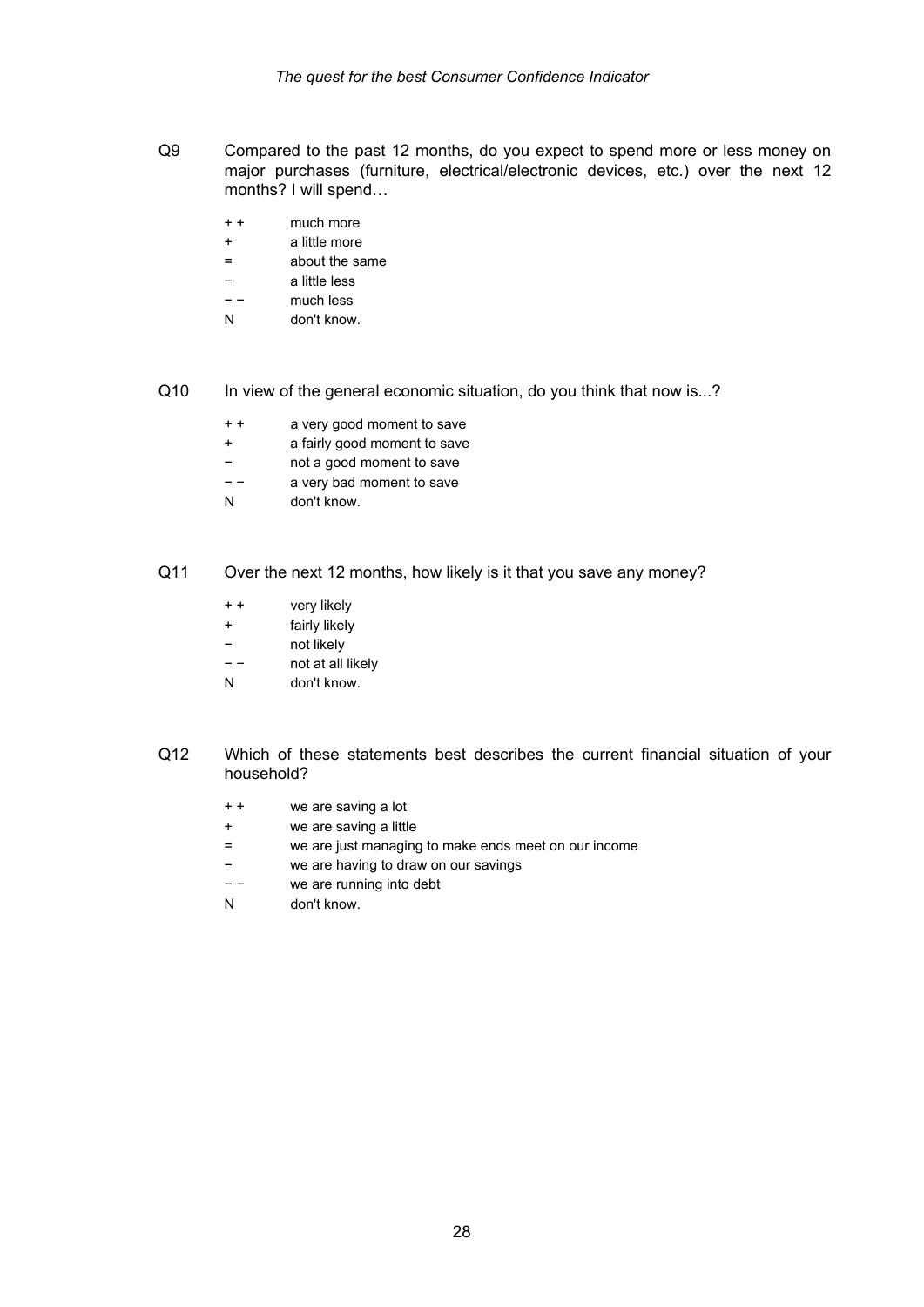- Q9 Compared to the past 12 months, do you expect to spend more or less money on major purchases (furniture, electrical/electronic devices, etc.) over the next 12 months? I will spend…
	- + + much more
	- + a little more
	- = about the same
	- − a little less
	- − − much less
	- N don't know.
- Q10 In view of the general economic situation, do you think that now is...?
	- + + a very good moment to save
	- + a fairly good moment to save
	- not a good moment to save
	- − − a very bad moment to save
	- N don't know.

#### Q11 Over the next 12 months, how likely is it that you save any money?

- + + very likely
- + fairly likely
- − not likely
- − − not at all likely
- N don't know.
- Q12 Which of these statements best describes the current financial situation of your household?
	- + + we are saving a lot
	- + we are saving a little
	- = we are just managing to make ends meet on our income
	- − we are having to draw on our savings
	- − − we are running into debt
	- N don't know.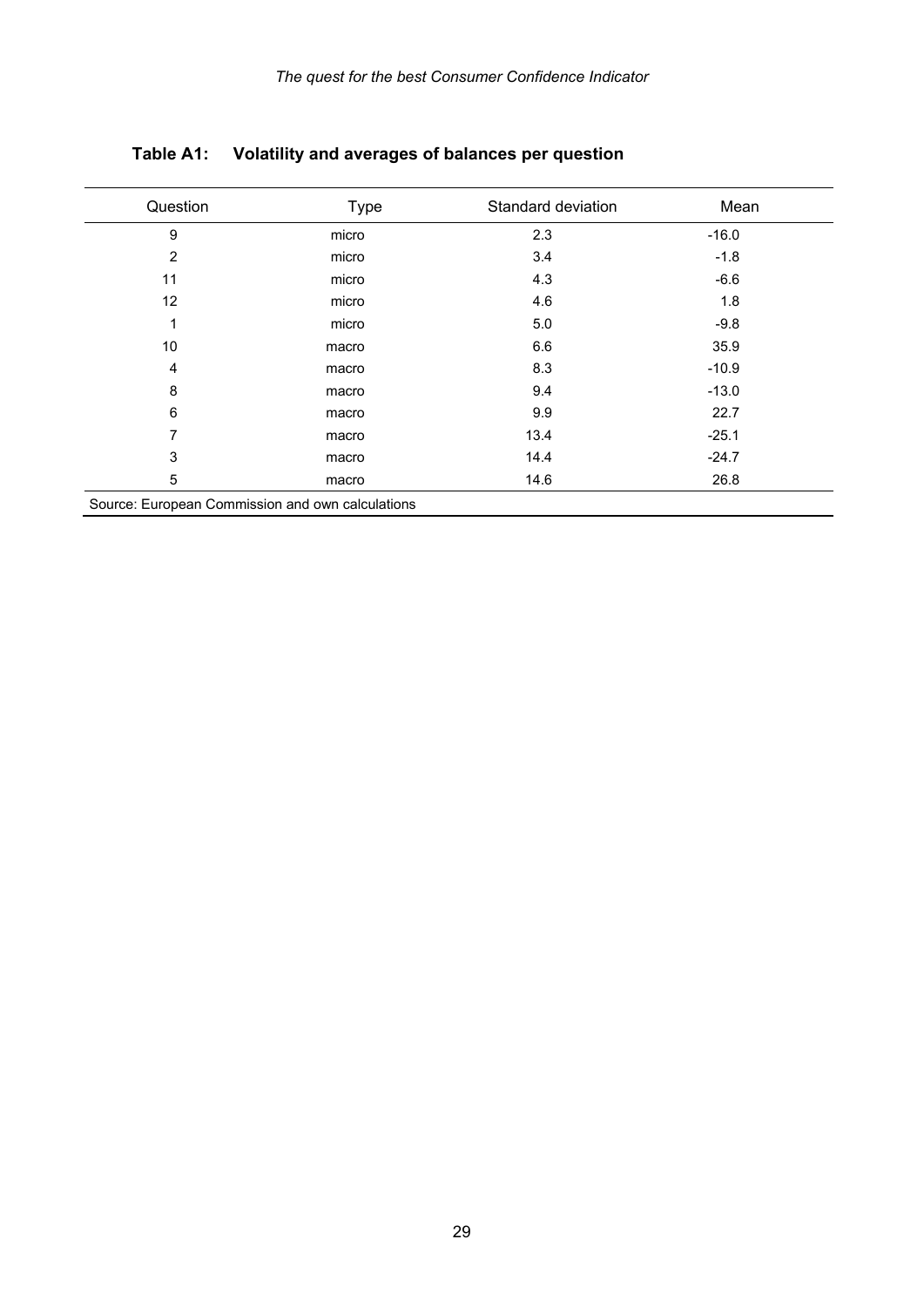| Question       | <b>Type</b> | Standard deviation | Mean    |
|----------------|-------------|--------------------|---------|
| 9              | micro       | 2.3                | $-16.0$ |
| $\overline{2}$ | micro       | 3.4                | $-1.8$  |
| 11             | micro       | 4.3                | $-6.6$  |
| 12             | micro       | 4.6                | 1.8     |
| 1              | micro       | 5.0                | $-9.8$  |
| 10             | macro       | 6.6                | 35.9    |
| 4              | macro       | 8.3                | $-10.9$ |
| 8              | macro       | 9.4                | $-13.0$ |
| 6              | macro       | 9.9                | 22.7    |
| 7              | macro       | 13.4               | $-25.1$ |
| 3              | macro       | 14.4               | $-24.7$ |
| 5              | macro       | 14.6               | 26.8    |

**Table A1: Volatility and averages of balances per question** 

Source: European Commission and own calculations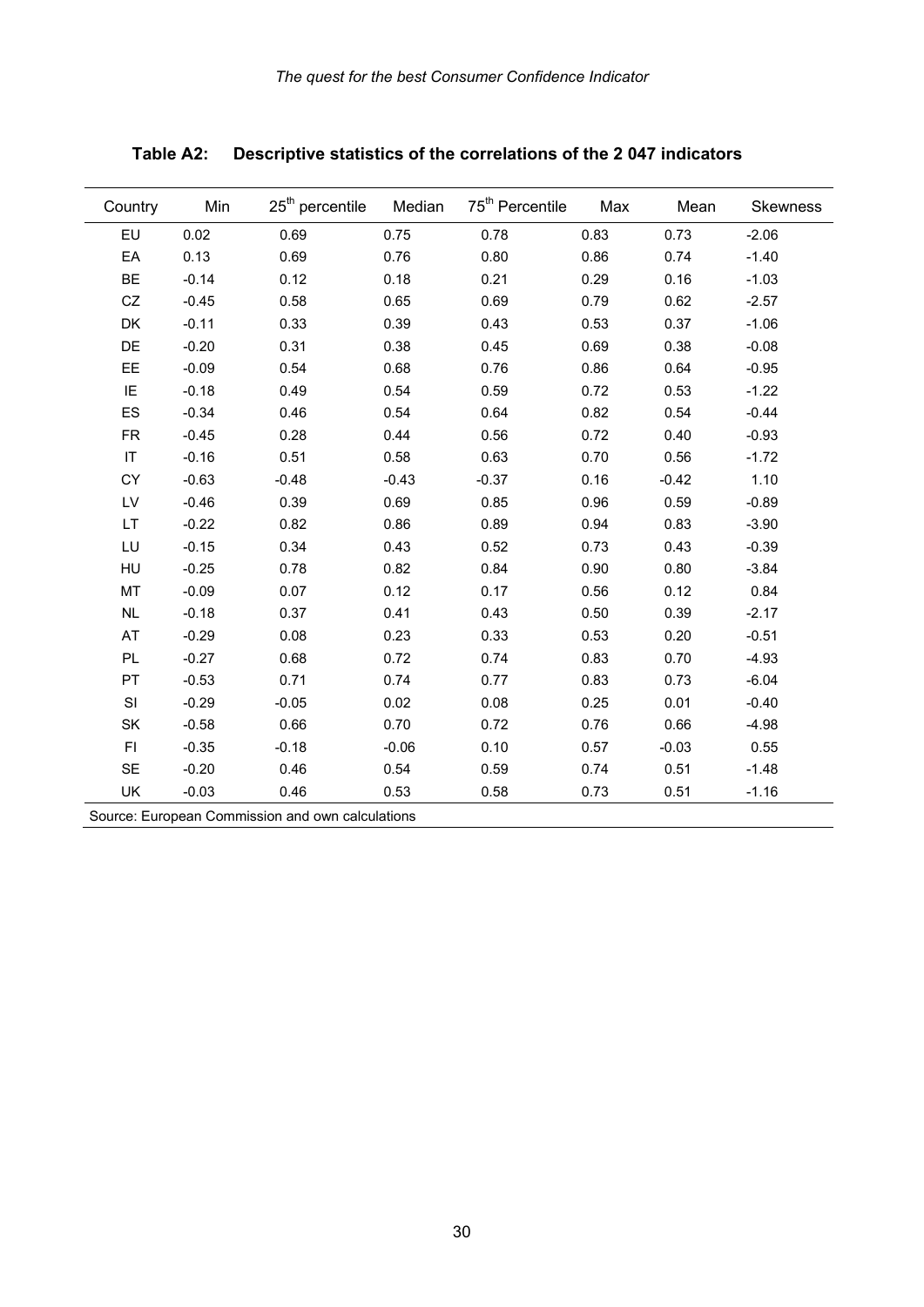| Country   | Min                                              | $25th$ percentile | Median  | 75 <sup>th</sup> Percentile | Max  | Mean    | Skewness |  |  |  |  |
|-----------|--------------------------------------------------|-------------------|---------|-----------------------------|------|---------|----------|--|--|--|--|
| EU        | 0.02                                             | 0.69              | 0.75    | 0.78                        | 0.83 | 0.73    | $-2.06$  |  |  |  |  |
| EA        | 0.13                                             | 0.69              | 0.76    | 0.80                        | 0.86 | 0.74    | $-1.40$  |  |  |  |  |
| <b>BE</b> | $-0.14$                                          | 0.12              | 0.18    | 0.21                        | 0.29 | 0.16    | $-1.03$  |  |  |  |  |
| CZ        | $-0.45$                                          | 0.58              | 0.65    | 0.69                        | 0.79 | 0.62    | $-2.57$  |  |  |  |  |
| DK        | $-0.11$                                          | 0.33              | 0.39    | 0.43                        | 0.53 | 0.37    | $-1.06$  |  |  |  |  |
| DE        | $-0.20$                                          | 0.31              | 0.38    | 0.45                        | 0.69 | 0.38    | $-0.08$  |  |  |  |  |
| EE        | $-0.09$                                          | 0.54              | 0.68    | 0.76                        | 0.86 | 0.64    | $-0.95$  |  |  |  |  |
| IE        | $-0.18$                                          | 0.49              | 0.54    | 0.59                        | 0.72 | 0.53    | $-1.22$  |  |  |  |  |
| ES        | $-0.34$                                          | 0.46              | 0.54    | 0.64                        | 0.82 | 0.54    | $-0.44$  |  |  |  |  |
| <b>FR</b> | $-0.45$                                          | 0.28              | 0.44    | 0.56                        | 0.72 | 0.40    | $-0.93$  |  |  |  |  |
| $\sf IT$  | $-0.16$                                          | 0.51              | 0.58    | 0.63                        | 0.70 | 0.56    | $-1.72$  |  |  |  |  |
| CY        | $-0.63$                                          | $-0.48$           | $-0.43$ | $-0.37$                     | 0.16 | $-0.42$ | 1.10     |  |  |  |  |
| LV        | $-0.46$                                          | 0.39              | 0.69    | 0.85                        | 0.96 | 0.59    | $-0.89$  |  |  |  |  |
| LT        | $-0.22$                                          | 0.82              | 0.86    | 0.89                        | 0.94 | 0.83    | $-3.90$  |  |  |  |  |
| LU        | $-0.15$                                          | 0.34              | 0.43    | 0.52                        | 0.73 | 0.43    | $-0.39$  |  |  |  |  |
| HU        | $-0.25$                                          | 0.78              | 0.82    | 0.84                        | 0.90 | 0.80    | $-3.84$  |  |  |  |  |
| MT        | $-0.09$                                          | 0.07              | 0.12    | 0.17                        | 0.56 | 0.12    | 0.84     |  |  |  |  |
| NL        | $-0.18$                                          | 0.37              | 0.41    | 0.43                        | 0.50 | 0.39    | $-2.17$  |  |  |  |  |
| AT        | $-0.29$                                          | 0.08              | 0.23    | 0.33                        | 0.53 | 0.20    | $-0.51$  |  |  |  |  |
| PL        | $-0.27$                                          | 0.68              | 0.72    | 0.74                        | 0.83 | 0.70    | $-4.93$  |  |  |  |  |
| PT        | $-0.53$                                          | 0.71              | 0.74    | 0.77                        | 0.83 | 0.73    | $-6.04$  |  |  |  |  |
| SI        | $-0.29$                                          | $-0.05$           | 0.02    | 0.08                        | 0.25 | 0.01    | $-0.40$  |  |  |  |  |
| SK        | $-0.58$                                          | 0.66              | 0.70    | 0.72                        | 0.76 | 0.66    | $-4.98$  |  |  |  |  |
| F1        | $-0.35$                                          | $-0.18$           | $-0.06$ | 0.10                        | 0.57 | $-0.03$ | 0.55     |  |  |  |  |
| <b>SE</b> | $-0.20$                                          | 0.46              | 0.54    | 0.59                        | 0.74 | 0.51    | $-1.48$  |  |  |  |  |
| UK        | $-0.03$                                          | 0.46              | 0.53    | 0.58                        | 0.73 | 0.51    | $-1.16$  |  |  |  |  |
|           | Source: European Commission and own calculations |                   |         |                             |      |         |          |  |  |  |  |

**Table A2: Descriptive statistics of the correlations of the 2 047 indicators**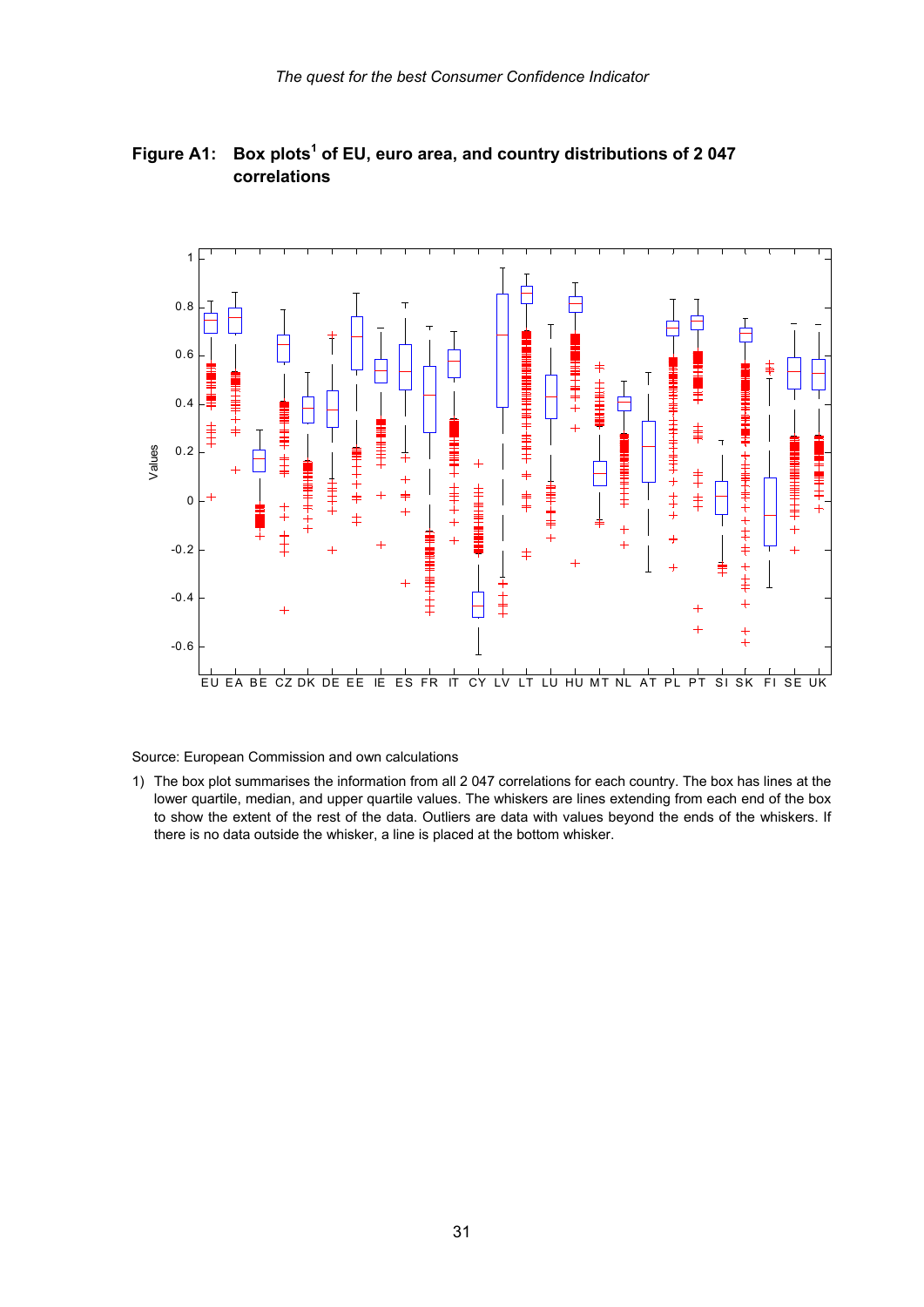

#### Figure A1: Box plots<sup>1</sup> of EU, euro area, and country distributions of 2047 **correlations**

Source: European Commission and own calculations

-0.6

1) The box plot summarises the information from all 2 047 correlations for each country. The box has lines at the lower quartile, median, and upper quartile values. The whiskers are lines extending from each end of the box to show the extent of the rest of the data. Outliers are data with values beyond the ends of the whiskers. If there is no data outside the whisker, a line is placed at the bottom whisker.

EU EA BE CZ DK DE EE IE ES FR IT CY LV LT LU HU MT NL AT PL PT SI SK FI SE UK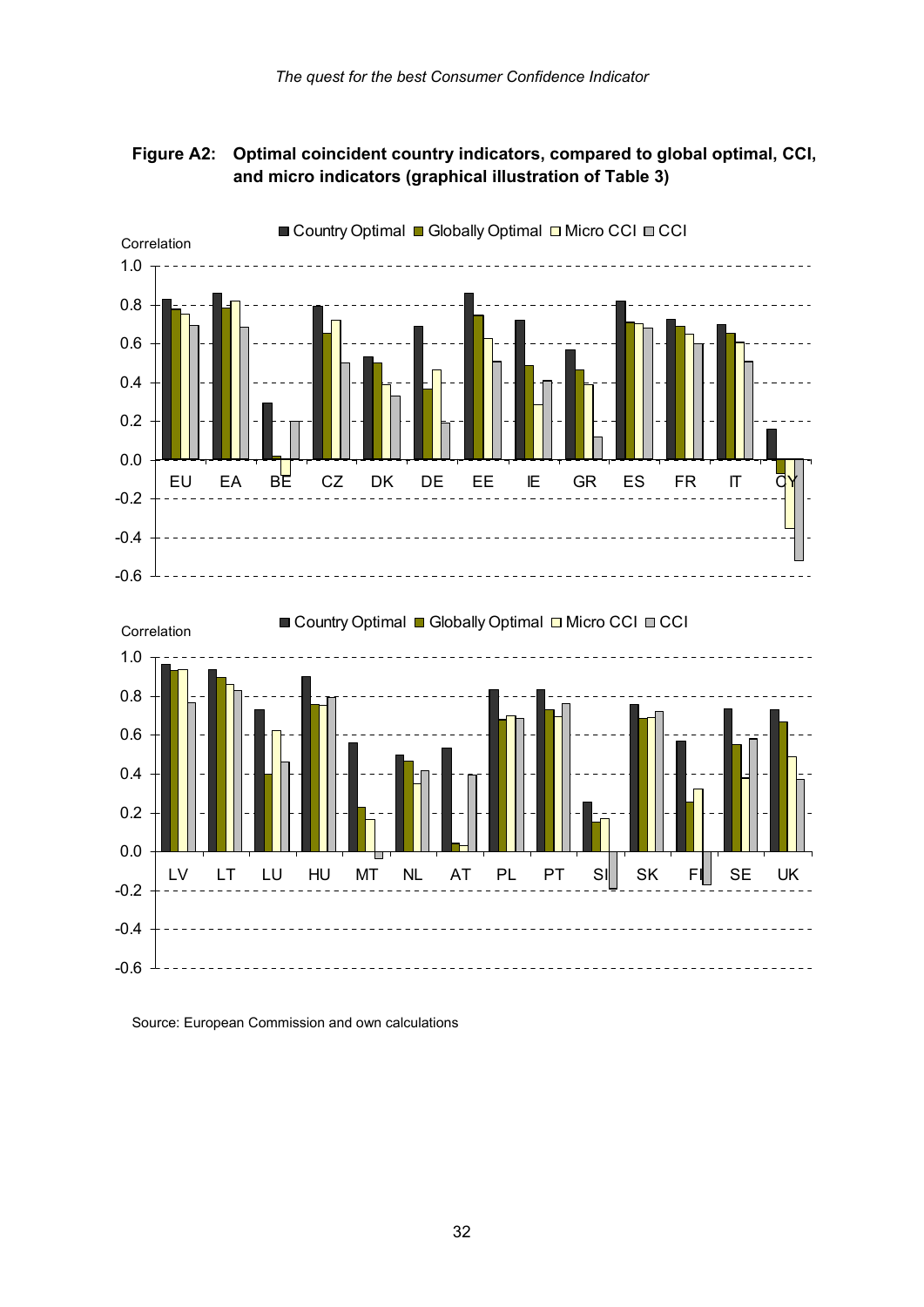